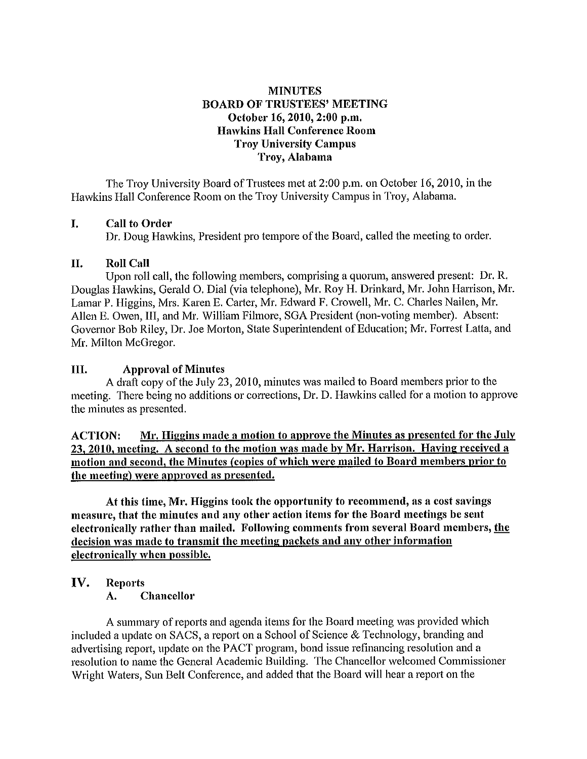## **MINUTES BOARD OF TRUSTEES' MEETING October 16, 2010, 2:00 p.m. Hawkins Hall Conference Room Troy University Campus Troy, Alabama**

The Troy University Board of Trustees met at 2:00 p.m. on October 16, 2010, in the Hawkins Hall Conference Room on the Troy University Campus in Troy, Alabama.

## I. **Call to Order**

Dr. Doug Hawkins, President pro tempore of the Board, called the meeting to order.

## II. **Roll Call**

Upon roll call, the following members, comprising a quorum, answered present: Dr. R. Douglas Hawkins, Gerald 0. Dial (via telephone), Mr. Roy H. Drinkard, Mr. John Harrison, Mr. Lamar **P.** Higgins, Mrs. Karen E. Carter, Mr. Edward F. Crowell, Mr. C. Charles Nailen, Mr. Allen E. Owen, III, and Mr. William Filmore, SGA President (non-voting member). Absent: Governor Bob Riley, Dr. Joe Morton, State Superintendent of Education; Mr. Forrest Latta, and Mr. Milton McGregor.

## III. **Approval of Minutes**

A draft copy of the July 23, 2010, minutes was mailed to Board members prior to the meeting. There being no additions or corrections, Dr. D. Hawkins called for a motion to approve the minutes as presented.

**ACTION: Mr. Higgins made a motion to approve the Minutes as presented for the July 23, 2010. meeting. A second to the motion was made by Mr. Harrison. Having received a motion and second. the Minutes (copies of which were mailed to Board members prior to the meeting) were approved as presented,** 

**At this time, Mr. Higgins took the opportunity to recommend, as a cost savings measure, that the minutes and any other action items for the Board meetings be sent electronically rather than mailed. Following comments from several Board members, the decision was made to transmit the meeting packets and any other information electronically when possible.** 

## **IV. Reports**

**A. Chancellor** 

A summary of reports and agenda items for the Board meeting was provided which included a update on SACS, a report on a School of Science & Technology, branding and advertising report, update on the PACT program, bond issue refinancing resolution and a resolution to name the General Academic Building. The Chancellor welcomed Commissioner Wright Waters, Sun Belt Conference, and added that the Board will hear a report on the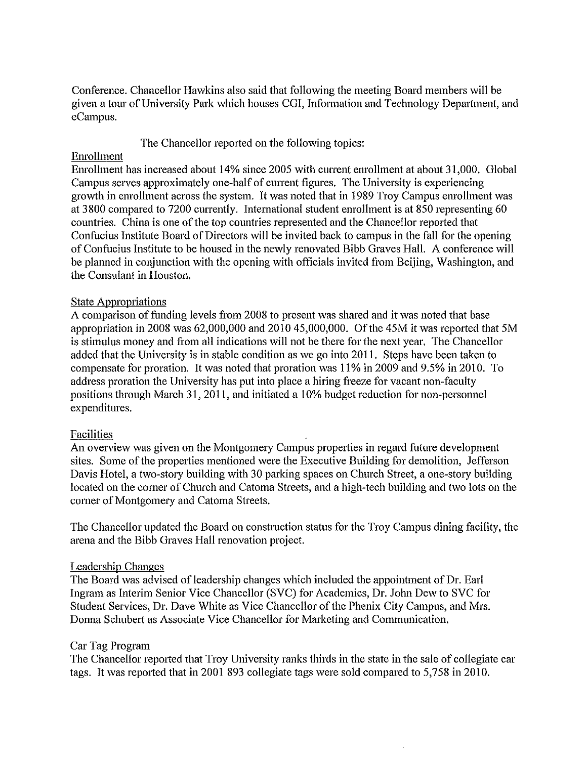Conference. Chancellor Hawkins also said that following the meeting Board members will be given a tour of University Park which houses CGI, Information and Technology Depatiment, and eCampus.

The Chancellor reported on the following topics:

## Enrollment

Enrollment has increased about 14% since 2005 with current enrollment at about 31,000. Global Campus serves approximately one-half of current figures. The University is experiencing growth in enrollment across the system. It was noted that in 1989 Troy Campus enrollment was at 3800 compared to 7200 currently. International student enrollment is at 850 representing 60 countries. China is one of the top countries represented and the Chancellor reported that Confucius Institute Board of Directors will be invited back to campus in the fall for the opening of Confucius Institute to be housed in the newly renovated Bibb Graves Hall. A conference will be planned in conjunction with the opening with officials invited from Beijing, Washington, and the Consulant in Houston.

## State Appropriations

A comparison of funding levels from 2008 to present was shared and it was noted that base appropriation in 2008 was 62,000,000 and 2010 45,000,000. Of the 45M it was reported that SM is stimulus money and from all indications will not be there for the next year. The Chancellor added that the University is in stable condition as we go into 2011. Steps have been taken to compensate for proration. It was noted that proration was 11% in 2009 and 9.5% in 2010. To address proration the University has put into place a hiring freeze for vacant non-faculty positions through March 31, 2011, and initiated a 10% budget reduction for non-personnel expenditures.

## Facilities

An overview was given on the Montgomery Campus properties in regard future development sites. Some of the properties mentioned were the Executive Building for demolition, Jefferson Davis Hotel, a two-story building with 30 parking spaces on Church Street, a one-story building located on the corner of Church and Catoma Streets, and a high-tech building and two lots on the corner of Montgomery and Catoma Streets.

The Chancellor updated the Board on construction status for the Troy Campus dining facility, the arena and the Bibb Graves Hall renovation project.

## Leadership Changes

The Board was advised of leadership changes which included the appointment of Dr. Earl Ingram as Interim Senior Vice Chancellor (SVC) for Academics, Dr. John Dew to SVC for Student Services, Dr. Dave White as Vice Chancellor of the Phenix City Campus, and Mrs. Donna Schubert as Associate Vice Chancellor for Marketing and Communication.

## Car Tag Program

The Chancellor reported that Troy University ranks thirds in the state in the sale of collegiate car tags. It was reported that in 2001 893 collegiate tags were sold compared to 5,758 in 2010.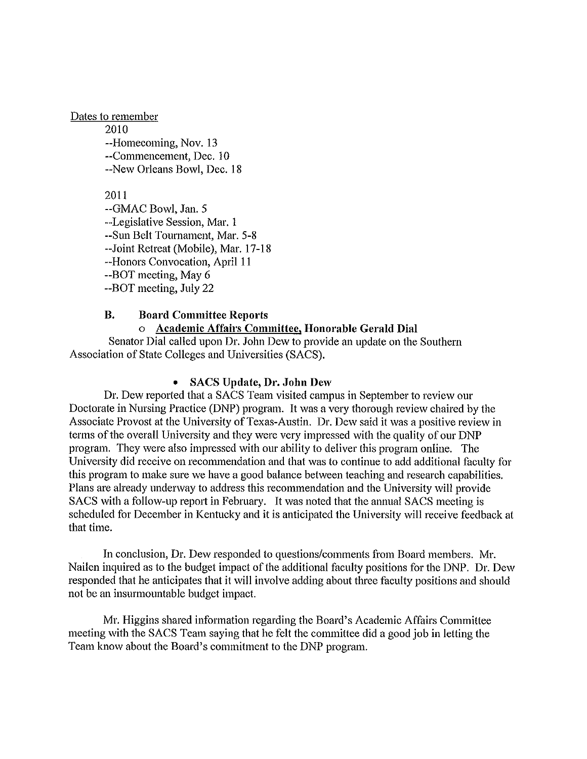Dates to remember 2010 --Homecoming, Nov. 13 --Commencement, Dec. 10 --New Orleans Bowl, Dec. 18

> 2011 --GMAC Bowl, Jan. 5 --Legislative Session, Mar. 1 --Sun Belt Tournament, Mar. 5-8 --Joint Retreat (Mobile), Mar. 17-18 --Honors Convocation, April 11 --BOT meeting, May 6 --BOT meeting, July 22

## **B. Board Committee Reports**

## o **Academic Affah·s Committee, Honorable Gerald Dial**

Senator Dial called upon Dr. John Dew to provide an update on the Southern Association of State Colleges and Universities (SACS).

## • **SACS Update, Dr. John Dew**

Dr. Dew reported that a SACS Team visited campus in September to review our Doctorate in Nursing Practice (DNP) program. It was a very thorough review chaired by the Associate Provost at the University of Texas-Austin. Dr. Dew said it was a positive review in terms of the overall University and they were very impressed with the quality of our DNP program. They were also impressed with our ability to deliver this program online. The University did receive on recommendation and that was to continue to add additional faculty for this program to make sure we have a good balance between teaching and research capabilities. Plans are already underway to address this recommendation and the University will provide SACS with a follow-up report in February. It was noted that the annual SACS meeting is scheduled for December in Kentucky and it is anticipated the University will receive feedback at that time.

In conclusion, Dr. Dew responded to questions/comments from Board members. Mr. Nailen inquired as to the budget impact of the additional faculty positions for the DNP. Dr. Dew responded that he anticipates that it will involve adding about three faculty positions and should not be an insurmountable budget impact.

Mr. Higgins shared information regarding the Board's Academic Affairs Committee meeting with the SACS Team saying that he felt the committee did a good job in letting the Team know about the Board's commitment to the DNP program.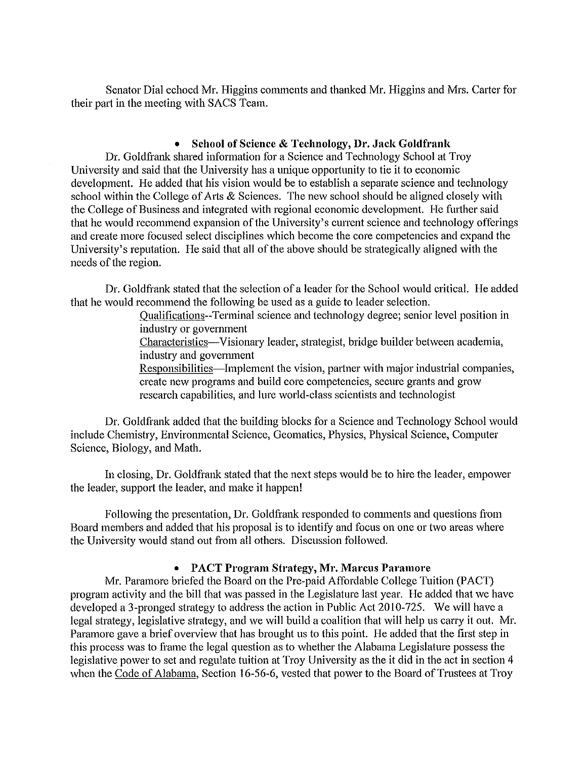Senator Dial echoed Mr. Higgins comments and thanked Mr. Higgins and Mrs. Carter for their part in the meeting with SACS Team.

## • **School of Science & Technology, Dr. Jack Goldfrank**

Dr. Goldfrank shared information for a Science and Technology School at Troy University and said that the University has a unique opportunity to tie it to economic development. He added that his vision would be to establish a separate science and technology school within the College of Arts & Sciences. The new school should be aligned closely with the College of Business and integrated with regional economic development. He further said that he would recommend expansion of the University's current science and technology offerings and create more focused select disciplines which become the core competencies and expand the University's reputation. He said that all of the above should be strategically aligned with the needs of the region.

Dr. Goldfrank stated that the selection of a leader for the School would critical. He added that he would recommend the following be used as a guide to leader selection.

> Oualifications--Terminal science and technology degree; senior level position in industry or government

Characteristics-Visionary leader, strategist, bridge builder between academia, industry and government

Responsibilities-Implement the vision, partner with major industrial companies, create new programs and build core competencies, secure grants and grow research capabilities, and lure world-class scientists and technologist

Dr. Goldfrank added that the building blocks for a Science and Technology School would include Chemistry, Environmental Science, Geomatics, Physics, Physical Science, Computer Science, Biology, and Math.

In closing, Dr. Goldfrank stated that the next steps would be to hire the leader, empower the leader, support the leader, and make it happen!

Following the presentation, Dr. Goldfrank responded to comments and questions from Board members and added that his proposal is to identify and focus on one or two areas where the University would stand out from all others. Discussion followed.

## • **PACT Program Strategy, Mr. Marcus Paramore**

Mr. Paramore briefed the Board on the Pre-paid Affordable College Tuition (PACT) program activity and the bill that was passed in the Legislature last year. He added that we have developed a 3-pronged strategy to address the action in Public Act 2010-725. We will have a legal strategy, legislative strategy, and we will build a coalition that will help us carry it out. Mr. Paramore gave a brief overview that has brought us to this point. He added that the first step in this process was to frame the legal question as to whether the Alabama Legislature possess the legislative power to set and regulate tuition at Troy University as the it did in the act in section 4 when the Code of Alabama, Section 16-56-6, vested that power to the Board of Trustees at Troy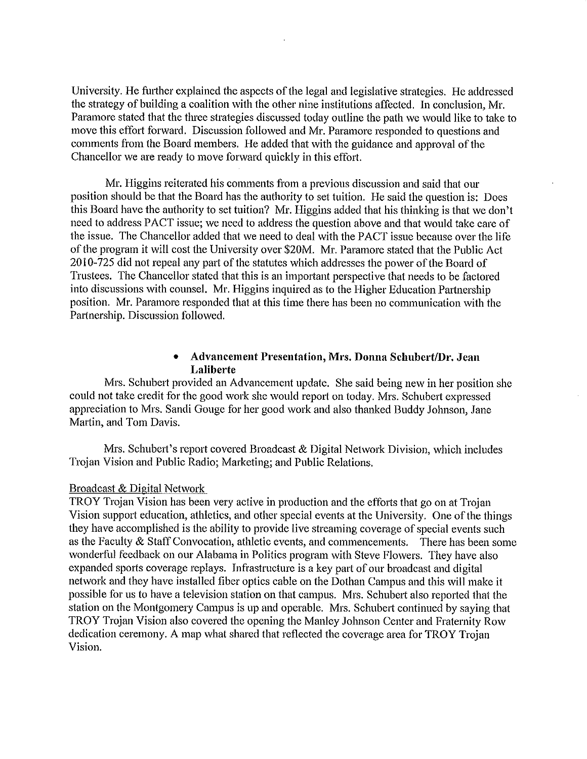University. He further explained the aspects of the legal and legislative strategies. He addressed the strategy of building a coalition with the other nine institutions affected. In conclusion, Mr. Paramore stated that the three strategies discussed today outline the path we would like to take to move this effort forward. Discussion followed and Mr. Paramore responded to questions and comments from the Board members. He added that with the guidance and approval of the Chancellor we are ready to move forward quickly in this effort.

Mr. Higgins reiterated his comments from a previous discussion and said that our position should be that the Board has the authority to set tuition. He said the question is: Does this Board have the authority to set tuition? Mr. Higgins added that his thinking is that we don't need to address PACT issue; we need to address the question above and that would take care of the issue. The Chancellor added that we need to deal with the PACT issue because over the life of the program it will cost the University over \$20M. Mr. Paramore stated that the Public Act 2010-725 did not repeal any part of the statutes which addresses the power of the Board of Trustees. The Chancellor stated that this is an important perspective that needs to be factored into discussions with counsel. Mr. Higgins inquired as to the Higher Education Partnership position. Mr. Paramore responded that at this time there has been no communication with the Partnership. Discussion followed.

## • **Advancement Presentation, Mrs. Donna Schubert/Dr. Jean Laliberte**

Mrs. Schubert provided an Advancement update. She said being new in her position she could not take credit for the good work she would report on today. Mrs. Schubert expressed appreciation to Mrs. Sandi Gouge for her good work and also thanked Buddy Johnson, Jane Martin, and Tom Davis.

Mrs. Schubert's report covered Broadcast & Digital Network Division, which includes Trojan Vision and Public Radio; Marketing; and Public Relations.

#### Broadcast & Digital Network

TROY Trojan Vision has been very active in production and the efforts that go on at Trojan Vision support education, athletics, and other special events at the University. One of the things they have accomplished is the ability to provide live streaming coverage of special events such as the Faculty & Staff Convocation, athletic events, and commencements. There has been some wonderful feedback on our Alabama in Politics program with Steve Flowers. They have also expanded sports coverage replays. Infrastructure is a key part of our broadcast and digital network and they have installed fiber optics cable on the Dothan Campus and this will make it possible for us to have a television station on that campus. Mrs. Schubert also reported that the station on the Montgomery Campus is up and operable. Mrs. Schubert continued by saying that TROY Trojan Vision also covered the opening the Manley Johnson Center and Fraternity Row dedication ceremony. A map what shared that reflected the coverage area for TROY Trojan Vision.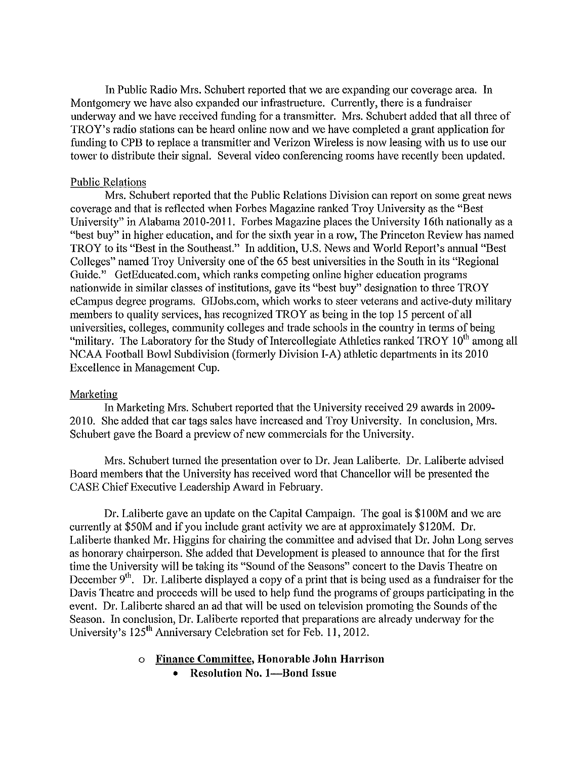In Public Radio Mrs. Schubert reported that we are expanding our coverage area. In Montgomery we have also expanded our infrastructure. Currently, there is a fundraiser underway and we have received funding for a transmitter. Mrs. Schubert added that all three of TROY's radio stations can be heard online now and we have completed a grant application for funding to CPB to replace a transmitter and Verizon Wireless is now leasing with us to use our tower to distribute their signal. Several video conferencing rooms have recently been updated.

### Public Relations

Mrs. Schubert reported that the Public Relations Division can report on some great news coverage and that is reflected when Forbes Magazine ranked Troy University as the "Best University" in Alabama 2010-2011. Forbes Magazine places the University 16th nationally as a "best buy" in higher education, and for the sixth year in a row, The Princeton Review has named TROY to its "Best in the Southeast." In addition, U.S. News and World Report's annual "Best Colleges" named Troy University one of the 65 best universities in the South in its "Regional Guide." GetEducated.com, which ranks competing online higher education programs nationwide in similar classes of institutions, gave its "best buy" designation to three TROY eCampus degree programs. GIJobs.com, which works to steer veterans and active-duty military members to quality services, has recognized TROY as being in the top 15 percent of all universities, colleges, community colleges and trade schools in the country in terms of being "military. The Laboratory for the Study of Intercollegiate Athletics ranked TROY  $10<sup>th</sup>$  among all NCAA Football Bowl Subdivision (formerly Division I-A) athletic departments in its 2010 Excellence in Management Cup.

## Marketing

In Marketing Mrs. Schubett repotted that the University received 29 awards in 2009- 2010. She added that car tags sales have increased and Troy University. In conclusion, Mrs. Schubett gave the Board a preview of new commercials for the University.

Mrs. Schubert turned the presentation over to Dr. Jean Laliberte. Dr. Laliberte advised Board members that the University has received word that Chancellor will be presented the CASE Chief Executive Leadership Award in February.

Dr. Lalibette gave an update on the Capital Campaign. The goal is \$1 00M and we are currently at \$SOM and if you include grant activity we are at approximately \$120M. Dr. Laliberte thanked Mr. Higgins for chairing the committee and advised that Dr. John Long serves as honorary chairperson. She added that Development is pleased to announce that for the first time the University will be taking its "Sound of the Seasons" concert to the Davis Theatre on December  $9<sup>th</sup>$ . Dr. Laliberte displayed a copy of a print that is being used as a fundraiser for the Davis Theatre and proceeds will be used to help fund the programs of groups patticipating in the event. Dr. Laliberte shared an ad that will be used on television promoting the Sounds of the Season. In conclusion, Dr. Laliberte reported that preparations are already underway for the University's 125<sup>th</sup> Anniversary Celebration set for Feb. 11, 2012.

## o **Finance Committee, Honorable John Harrison**

• **Resolution No. 1-Bond Issue**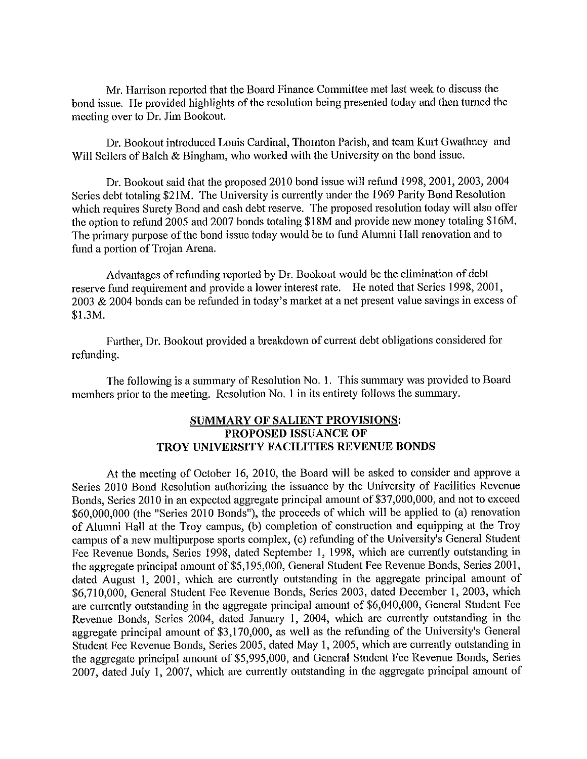Mr. Harrison reported that the Board Finance Committee met last week to discuss the bond issue. He provided highlights of the resolution being presented today and then turned the meeting over to Dr. Jim Bookout.

Dr. Bookout introduced Louis Cardinal, Thornton Parish, and team Kurt Gwathney and Will Sellers of Balch & Bingham, who worked with the University on the bond issue.

Dr. Bookout said that the proposed 2010 bond issue will refund 1998, 2001, 2003, 2004 Series debt totaling \$2 lM. The University is currently under the 1969 Parity Bond Resolution which requires Surety Bond and cash debt reserve. The proposed resolution today will also offer the option to refund 2005 and 2007 bonds totaling \$18M and provide new money totaling \$16M. The primary purpose of the bond issue today would be to fund Alumni Hall renovation and to fund a portion of Trojan Arena.

Advantages of refunding reported by Dr. Bookout would be the elimination of debt reserve fund requirement and provide a lower interest rate. He noted that Series 1998, 2001, 2003 & 2004 bonds can be refunded in today's market at a net present value savings in excess of \$I.3M.

Further, Dr. Bookout provided a breakdown of current debt obligations considered for refunding.

The following is a summary of Resolution No. I. This summary was provided to Board members prior to the meeting. Resolution No. I in its entirety follows the summary.

## **SUMMARY OF SALIENT PROVISIONS: PROPOSED ISSUANCE OF TROY UNIVERSITY FACILITIES REVENUE BONDS**

At the meeting of October 16, 2010, the Board will be asked to consider and approve a Series 2010 Bond Resolution authorizing the issuance by the University of Facilities Revenue Bonds, Series 2010 in an expected aggregate principal amount of \$37,000,000, and not to exceed \$60,000,000 (the "Series 2010 Bonds"), the proceeds of which will be applied to (a) renovation of Alumni Hall at the Troy campus, (b) completion of construction and equipping at the Troy campus of a new multipurpose sports complex, (c) refunding of the University's General Student Fee Revenue Bonds, Series 1998, dated September 1, 1998, which are currently outstanding in the aggregate principal amount of \$5,195,000, General Student Fee Revenue Bonds, Series 2001, dated August I, 2001, which are currently outstanding in the aggregate principal amount of \$6,710,000, General Student Fee Revenue Bonds, Series 2003, dated December I, 2003, which are currently outstanding in the aggregate principal amount of \$6,040,000, General Student Fee Revenue Bonds, Series 2004, dated January 1, 2004, which are currently outstanding in the aggregate principal amount of \$3,170,000, as well as the refunding of the University's General Student Fee Revenue Bonds, Series 2005, dated May 1, 2005, which are currently outstanding in the aggregate principal amount of \$5,995,000, and General Student Fee Revenue Bonds, Series 2007, dated July 1, 2007, which are currently outstanding in the aggregate principal amount of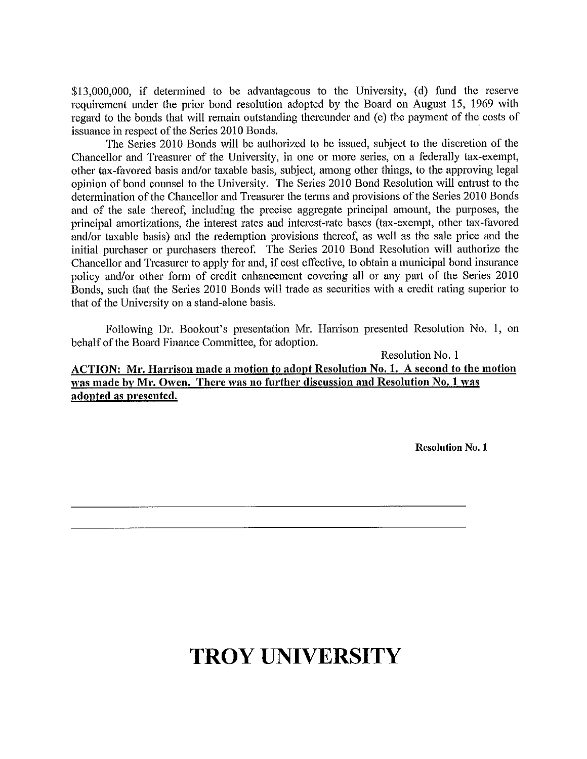\$13,000,000, if determined to be advantageous to the University, (d) fund the reserve requirement under the prior bond resolution adopted by the Board on August 15, 1969 with regard to the bonds that will remain outstanding thereunder and (e) the payment of the costs of issuance in respect of the Series 2010 Bonds.

The Series 2010 Bonds will be authorized to be issued, subject to the discretion of the Chancellor and Treasurer of the University, in one or more series, on a federally tax-exempt, other tax-favored basis and/or taxable basis, subject, among other things, to the approving legal opinion of bond counsel to the University. The Series 2010 Bond Resolution will entrust to the determination of the Chancellor and Treasurer the terms and provisions of the Series 2010 Bonds and of the sale thereof, including the precise aggregate principal amount, the purposes, the principal amortizations, the interest rates and interest-rate bases (tax-exempt, other tax-favored and/or taxable basis) and the redemption provisions thereof, as well as the sale price and the initial purchaser or purchasers thereof. The Series 2010 Bond Resolution will authorize the Chancellor and Treasurer to apply for and, if cost effective, to obtain a municipal bond insurance policy and/or other form of credit enhancement covering all or any part of the Series 2010 Bonds, such that the Series 2010 Bonds will trade as securities with a credit rating superior to that of the University on a stand-alone basis.

Following Dr. Bookout's presentation Mr. Harrison presented Resolution No. **1,** on behalf of the Board Finance Committee, for adoption.

Resolution No. **1 ACTION: Mr. Harrison made a motion to adopt Resolution No. 1. A second to the motion was made by Mr. Owen. There was no further discussion and Resolution No. 1 was adopted as presented.** 

**Resolution** No. **1** 

# **TROY UNIVERSITY**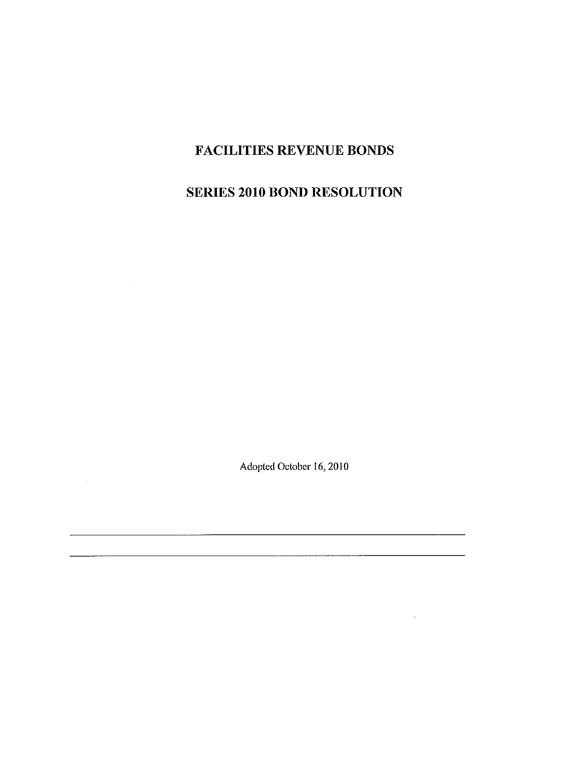# **FACILITIES REVENUE BONDS**

## **SERIES 2010 BOND RESOLUTION**

Adopted October 16, 2010

 $\sim$ 

 $\sim 10^{-11}$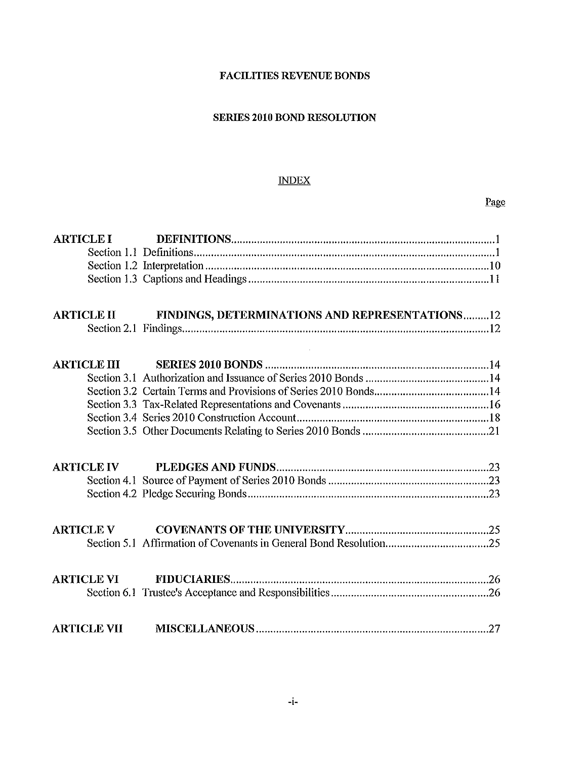## **FACILITIES REVENUE BONDS**

## **SERIES 2010 BOND RESOLUTION**

## INDEX

Page

| <b>ARTICLE I</b>   |                                                |
|--------------------|------------------------------------------------|
| <b>ARTICLE II</b>  | FINDINGS, DETERMINATIONS AND REPRESENTATIONS12 |
|                    |                                                |
| <b>ARTICLE III</b> |                                                |
|                    |                                                |
|                    |                                                |
|                    |                                                |
|                    |                                                |
|                    |                                                |
| <b>ARTICLE IV</b>  |                                                |
| <b>ARTICLE V</b>   |                                                |
|                    |                                                |
| <b>ARTICLE VI</b>  |                                                |
| <b>ARTICLE VII</b> |                                                |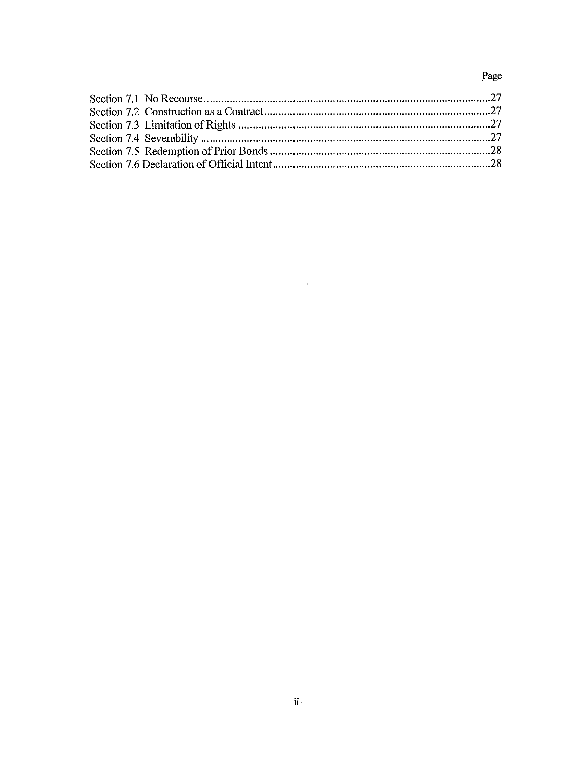## Page

 $\mathcal{L}^{\text{max}}_{\text{max}}$  .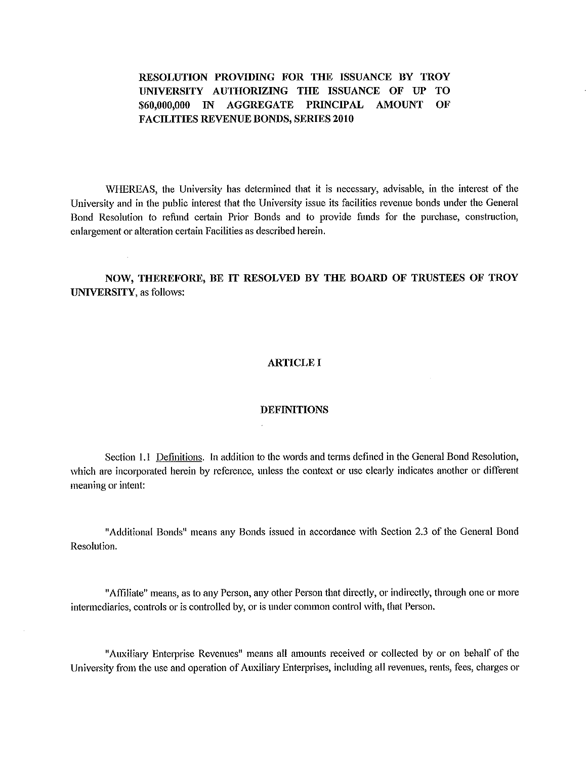**RESOLUTION PROVIDING FOR THE ISSUANCE BY TROY UNIVERSITY AUTHORIZING THE ISSUANCE OF UP TO \$60,000,000 IN AGGREGATE PRINCIPAL AMOUNT OF FACILITIES REVENUE BONDS, SERIES 2010** 

WHEREAS, the University has determined that it is necessary, advisable, in the interest of the University and in the public interest that the University issue its facilities revenue bonds under the General Bond Resolution to refund certain Prior Bonds and to provide funds for the purchase, construction, enlargement or alteration certain Facilities as described herein.

**NOW, THEREFORE, BE IT RESOLVED BY THE BOARD OF TRUSTEES OF TROY UNIVERSITY,** as follows:

#### **ARTICLE I**

#### **DEFINITIONS**

Section 1.1 Definitions. In addition to the words and terms defined in the General Bond Resolution, which are incorporated herein by reference, unless the context or use clearly indicates another or different meaning or intent:

"Additional Bonds" means any Bonds issued in accordance with Section 2.3 of the General Bond Resolution.

"Affiliate" means, as to any Person, any other Person that directly, or indirectly, through one or more intermediaries, controls or is controlled by, or is under common control with, that Person.

"Auxiliary Enterprise Revenues" means all amounts received or collected by or on behalf of the University from the use and operation of Auxiliary Enterprises, including all revenues, rents, fees, charges or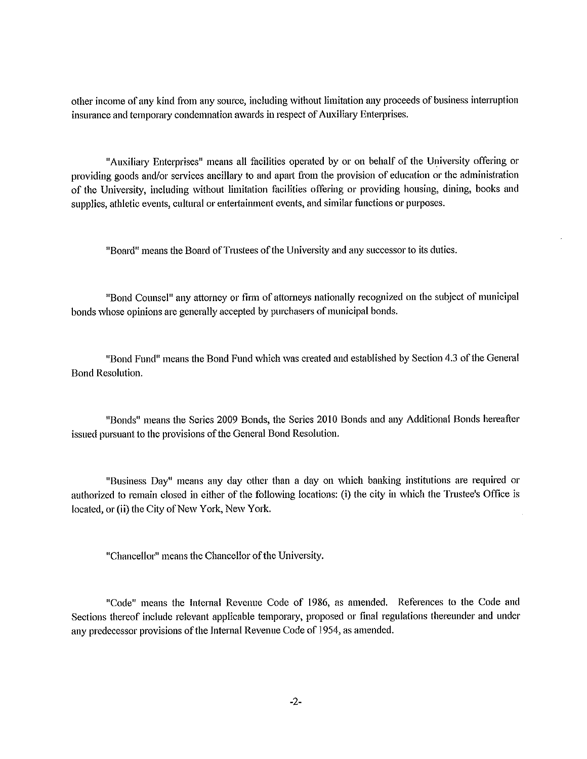other income of any kind from any source, including without limitation any proceeds of business intenuption insurance and temporary condemnation awards in respect of Auxiliary Enterprises.

"Auxiliary Enterprises" means all facilities operated by or on behalf of the University offering or providing goods and/or services ancillary to and apart from the provision of education or the administration of the University, including without limitation facilities offering or providing housing, dining, books and supplies, athletic events, cultural or entertainment events, and similar functions or purposes.

"Board" means the Board of Trustees of the University and any successor to its duties.

"Bond Counsel" any attorney or firm of attorneys nationally recognized on the subject of municipal bonds whose opinions are generally accepted by purchasers of municipal bonds.

"Bond Fund" means the Bond Fund which was created and established by Section 4.3 of the General Bond Resolution.

"Bonds" means the Series 2009 Bonds, the Series 2010 Bonds and any Additional Bonds hereafter issued pursuant to the provisions of the General Bond Resolution.

"Business Day" means any day other than a day on which banking institutions are required or authorized to remain closed in either of the following locations: (i) the city in which the Trustee's Office is located, or (ii) the City of New York, New York.

"Chancellor" means the Chancellor of the University.

"Code" means the Internal Revenue Code of 1986, as amended. References to the Code and Sections thereof include relevant applicable temporary, proposed or final regulations thereunder and under any predecessor provisions of the Internal Revenue Code of 1954, as amended.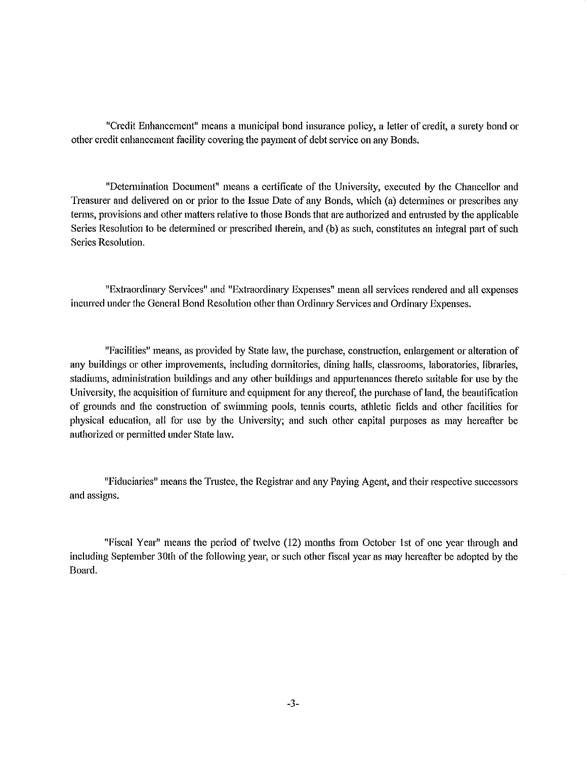"Credit Enhancement" means a municipal bond insurance policy, a letter of credit, a smety bond or other credit enhancement facility covering the payment of debt service on any Bonds.

"Determination Document" means a certificate of the University, executed by the Chancellor and Treasurer and delivered on or prior to the Issue Date of any Bonds, which (a) determines or prescribes any terms, provisions and other matters relative to those Bonds that are authorized and entrusted by the applicable Series Resolution to be determined or prescribed therein, and (b) as such, constitutes an integral part of such Series Resolution.

"Extraordinaty Services" and "Extraordinaty Expenses" mean all services rendered and all expenses incurred under the General Bond Resolution other than Ordinary Services and Ordinary Expenses.

"Facilities" means, as provided by State law, the pmchase, construction, enlargement or alteration of any buildings or other improvements, including dormitories, dining halls, classrooms, laboratories, libraries, stadiums, administration buildings and any other buildings and apputtenances thereto suitable for use by the University, the acquisition of furniture and equipment for any thereof, the purchase of land, the beautification of grounds and the constrnction of swimming pools, tennis courts, athletic fields and other facilities for physical education, all for use by the University; and such other capital purposes as may hereafter be authorized or permitted under State law.

"Fiduciaries" means the Trustee, the Registrar and any Paying Agent, and their respective successors and assigns.

"Fiscal Year" means the period of twelve (12) months from October !st of one year through and including September 30th of the following year, or such other fiscal year as may hereafter be adopted by the Board.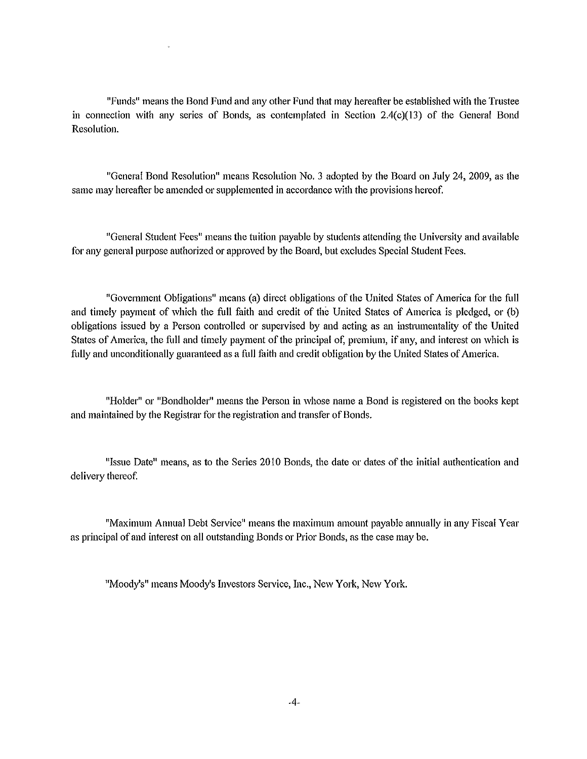"Funds" means the Bond Fund and any other Fund that may hereafter be established with the Trustee in connection with any series of Bonds, as contemplated in Section 2.4(c)(13) of the General Bond Resolution.

"General Bond Resolution" means Resolution No. 3 adopted by the Board on July 24, 2009, as the same may hereafter be amended or supplemented in accordance with the provisions hereof.

"General Student Fees" means the tuition payable by students attending the University and available for any general purpose authorized or approved by the Board, but excludes Special Student Fees.

"Govennnent Obligations" means (a) direct obligations of the United States of America for the full and timely payment of which the full faith and credit of the United States of America is pledged, or (b) obligations issued by a Person controlled or supervised by and acting as an instrumentality of the United States of America, the full and timely payment of the principal of, premium, if any, and interest on which is fully and unconditionally guaranteed as a full faith and credit obligation by the United States of America.

"Holder" or "Bondholder" means the Person in whose name a Bond is registered on the books kept and maintained by the Registrar for the registration and transfer of Bonds.

"Issue Date" means, as to the Series 2010 Bonds, the date or dates of the initial authentication and delivery thereof.

"Maximum Annual Debt Service" means the maximum amount payable annually in any Fiscal Year as principal of and interest on all outstanding Bonds or Prior Bonds, as the case may be.

"Moody's" means Moody's Investors Service, Inc., New York, New York.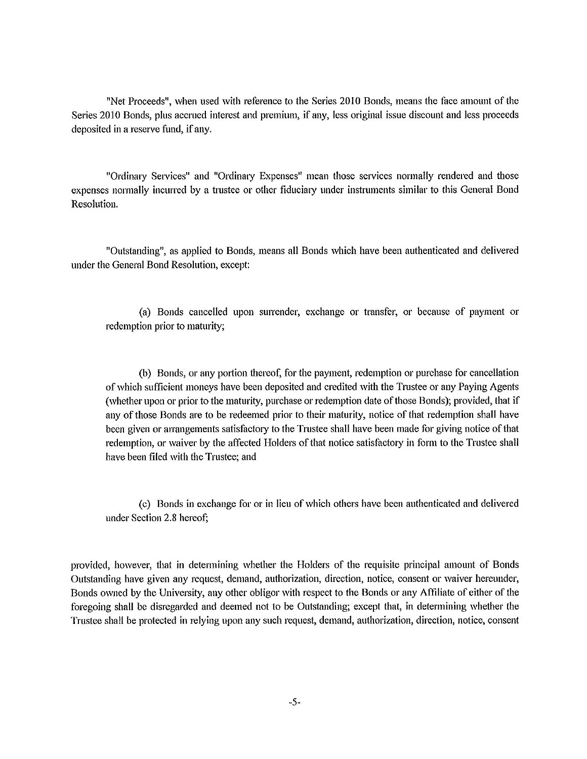"Net Proceeds", when used with reference to the Series 2010 Bonds, means the face amount of the Series 20 IO Bonds, plus accrued interest and premium, if any, less original issue discount and less proceeds deposited in a reserve fund, if any.

"Ordinary Services" and "Ordinary Expenses" mean those services normally rendered and those expenses normally incurred by a trustee or other fiduciary under instruments similar to this General Bond Resolution.

"Outstanding", as applied to Bonds, means all Bonds which have been authenticated and delivered under the General Bond Resolution, except:

(a) Bonds cancelled upon surrender, exchange or transfer, or because of payment or redemption prior to maturity;

(b) Bonds, or any portion thereof, for the payment, redemption or purchase for cancellation of which sufficient moneys have been deposited and credited with the Trnstee or any Paying Agents (whether upon or prior to the maturity, purchase or redemption date of those Bonds); provided, that if any of those Bonds are to be redeemed prior to their maturity, notice of that redemption shall have been given or arrangements satisfactory to the Trustee shall have been made for giving notice of that redemption, or waiver by the affected Holders of that notice satisfactory in form to the Trustee shall have been filed with the Trustee; and

( c) Bonds in exchange for or in lieu of which others have been authenticated and delivered under Section 2.8 hereof;

provided, however, that in determining whether the Holders of the requisite principal amount of Bonds Outstanding have given any request, demand, authorization, direction, notice, consent or waiver hereunder, Bonds owned by the University, any other obligor with respect to the Bonds or any Affiliate of either of the foregoing shall be disregarded and deemed not to be Outstanding; except that, in determining whether the Trustee shall be protected in relying upon any such request, demand, authorization, direction, notice, consent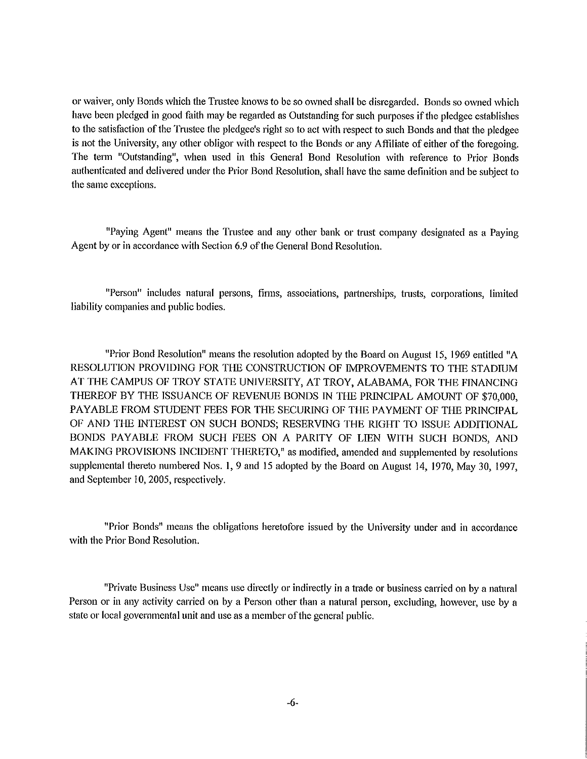or waiver, only Bonds which the Trustee knows to be so owned shall be disregarded. Bonds so owned which have been pledged in good faith may be regarded as Outstanding for such purposes if the pledgee establishes to the satisfaction of the Trustee the pledgee's right so to act with respect to such Bonds and that the pledgee is not the University, any other obligor with respect to the Bonds or any Affiliate of either of the foregoing. The term "Outstanding", when used in this General Bond Resolution with reference to Prior Bonds authenticated and delivered under the Prior Bond Resolution, shall have the same definition and be subject to the same exceptions.

"Paying Agent" means the Trustee and any other bank or trust company designated as a Paying Agent by or in accordance with Section 6.9 of the General Bond Resolution.

"Person" includes natural persons, firms, associations, partnerships, trusts, corporations, limited liability companies and public bodies.

"Prior Bond Resolution" means the resolution adopted by the Board on August 15, 1969 entitled "A RESOLUTION PROVIDING FOR THE CONSTRUCTION OF IMPROVEMENTS TO THE STADillM AT THE CAMPUS OF TROY STATE UNIVERSITY, AT TROY, ALABAMA, FOR THE FINANCING THEREOF BY THE ISSUANCE OF REVENUE BONDS IN THE PRINCIPAL AMOUNT OF \$70,000, PAYABLE FROM STUDENT FEES FOR THE SECURING OF THE PAYMENT OF THE PRINCIPAL OF AND THE INTEREST ON SUCH BONDS; RESERVING THE RIGHT TO ISSUE ADDITIONAL BONDS PAYABLE FROM SUCH FEES ON A PARITY OF LIEN WITH SUCH BONDS, AND MAKING PROVISIONS INCIDENT THERETO," as modified, amended and supplemented by resolutions supplemental thereto numbered Nos. 1, 9 and 15 adopted by the Board on August 14, 1970, May 30, 1997, and September 10, 2005, respectively.

"Prior Bonds" means the obligations heretofore issued by the University under and in accordance with the Prior Bond Resolution.

"Private Business Use" means use directly or indirectly in a trade or business carried on by a natural Person or in any activity carried on by a Person other than a natural person, excluding, however, use by a state or local governmental unit and use as a member of the general public.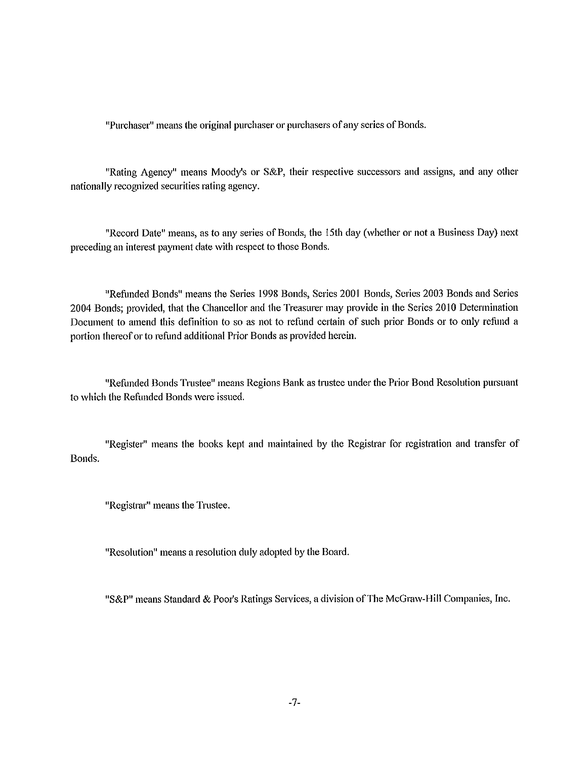"Purchaser" means the original purchaser or purchasers of any series of Bonds.

"Rating Agency" means Moody's or S&P, their respective successors and assigns, and any other nationally recognized securities rating agency.

"Record Date" means, as to any series of Bonds, the 15th day (whether or not a Business Day) next preceding an interest payment date with respect to those Bonds.

"Refunded Bonds" means the Series 1998 Bonds, Series 2001 Bonds, Series 2003 Bonds and Series 2004 Bonds; provided, that the Chancellor and the Treasurer may provide in the Series 2010 Determination Document to amend this definition to so as not to refund certain of such prior Bonds or to only refund a portion thereof or to refund additional Prior Bonds as provided herein.

"Refunded Bonds Trustee" means Regions Bank as trustee under the Prior Bond Resolution pursuant to which the Refunded Bonds were issued.

"Register" means the books kept and maintained by the Registrar for registration and transfer of Bonds.

"Registrar" means the Trustee.

"Resolution" means a resolution duly adopted by the Board.

"S&P" means Standard & Poor's Ratings Services, a division of The McGraw-Hill Companies, Inc.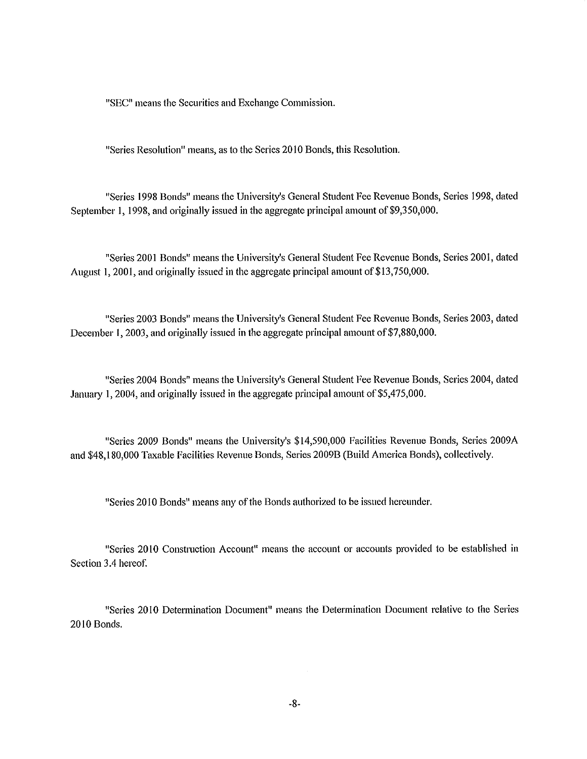"SEC" means the Securities and Exchange Commission.

"Series Resolution" means, as to the Series 2010 Bonds, this Resolution.

"Series 1998 Bonds" means the University's General Student Fee Revenue Bonds, Series 1998, dated September 1, 1998, and originally issued in the aggregate principal amount of \$9,350,000.

"Series 2001 Bonds" means the University's General Student Fee Revenue Bonds, Series 2001, dated August 1, 2001, and originally issued in the aggregate principal amount of \$13,750,000.

"Series 2003 Bonds" means the University's General Student Fee Revenue Bonds, Series 2003, dated December 1, 2003, and originally issued in the aggregate principal amount of \$7,880,000.

"Series 2004 Bonds" means the University's General Student Fee Revenue Bonds, Series 2004, dated January 1, 2004, and originally issued in the aggregate principal amount of \$5,475,000.

"Series 2009 Bonds" means the University's \$14,590,000 Facilities Revenue Bonds, Series 2009A and \$48,180,000 Taxable Facilities Revenue Bonds, Series 2009B (Build America Bonds), collectively.

"Series 2010 Bonds" means any of the Bonds authorized to be issued hereunder.

"Series 2010 Construction Account" means the account or accounts provided to be established in Section 3.4 hereof.

"Series 20 IO Detennination Document" means the Determination Document relative to the Series 2010 Bonds.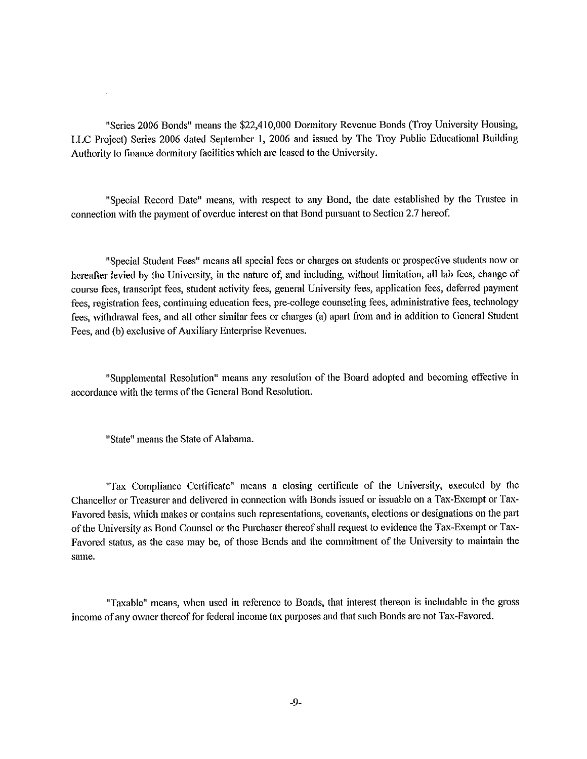"Series 2006 Bonds" means the \$22,410,000 Dormitory Revenue Bonds (Troy University Housing, LLC Project) Series 2006 dated September 1, 2006 and issued by The Troy Public Educational Building Authority to finance dormitory facilities which are leased to the University.

"Special Record Date" means, with respect to any Bond, the date established by the Trustee in connection with the payment of overdue interest on that Bond pursuant to Section 2.7 hereof.

"Special Student Fees" means all special fees or charges on students or prospective students now or hereafter levied by the University, in the nature of, and including, without limitation, all lab fees, change of course fees, transcript fees, student activity fees, general University fees, application fees, deferred payment fees, registration fees, continuing education fees, pre-college counseling fees, administrative fees, technology fees, withdrawal fees, and all other similar fees or charges (a) apart from and in addition to General Student Fees, and (b) exclusive of Auxiliary Enterprise Revenues.

"Supplemental Resolution" means any resolution of the Board adopted and becoming effective in accordance with the terms of the General Bond Resolution.

"State" means the State of Alabama.

 $\bar{z}$ 

"Tax Compliance Certificate" means a closing certificate of the University, executed by the Chancellor or Treasurer and delivered in connection with Bonds issued or issuable on a Tax-Exempt or Tax-Favored basis, which makes or contains such representations, covenants, elections or designations on the part of the University as Bond Counsel or the Purchaser thereof shall request to evidence the Tax-Exempt or Tax-Favored status, as the case may be, of those Bonds and the commitment of the University to maintain the **same.** 

"Taxable" means, when used in reference to Bonds, that interest thereon is includable in the gross income of any owner thereof for federal income tax purposes and that such Bonds are not Tax-Favored.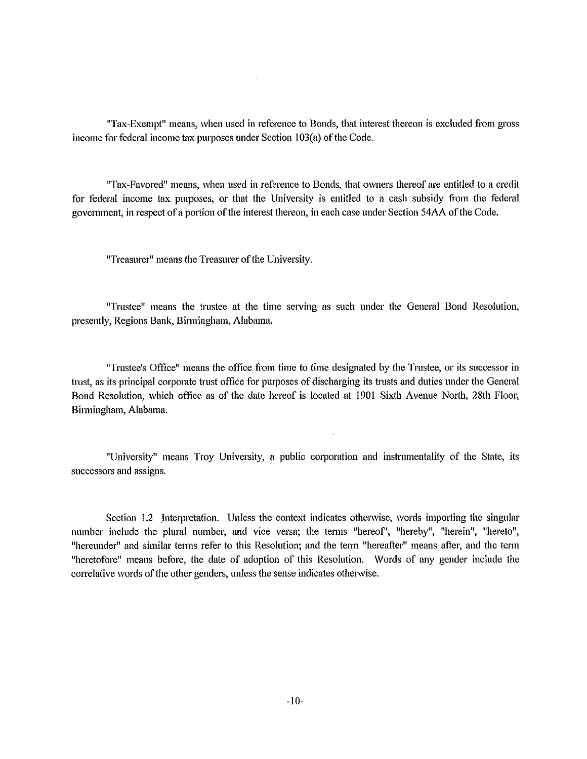"Tax-Exempt" means, when used in reference to Bonds, that interest thereon is excluded from gross income for federal income tax purposes under Section 103(a) of the Code.

"Tax-Favored" means, when used in reference to Bonds, that owners thereof are entitled to a credit for federal income tax pmposes, or that the University is entitled to a cash subsidy from the federal government, **in** respect of a portion of the interest thereon, **in** each case under Section 54AA of the Code.

"Treasurer" means the Treasurer of the University.

"Trustee" means the trnstee at the time serving as such under the General Bond Resolution, presently, Regions Bank, Birmingham, Alabama.

"Trustee's Office" means the office from time to time designated by the Trnstee, or its successor **in**  trust, as its principal corporate trust office for purposes of discharging its trusts and duties under the General Bond Resolution, which office as of the date hereof is located at 1901 Sixth Avenue North, 28th Floor, Birmingham, Alabama.

"University" means Troy University, a public corporation and instnnnentality of the State, its successors and assigns.

Section 1.2 Interpretation. Unless the context indicates otherwise, words importing the singular **number include the plural number, and vice versa; the terms "hereof', <sup>0</sup> hereby't, "herein", 11hereto",**  "hereunder" and similar terms refer to this Resolution; and the term "hereafter" means after, and the term "heretofore" means before, the date of adoption of this Resolution. Words of any gender include the correlative words of the other genders, unless the sense indicates otherwise.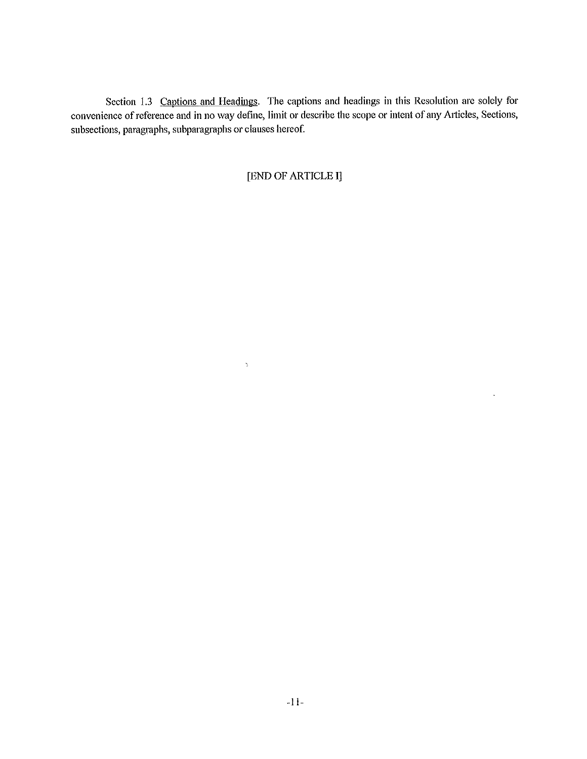Section 1.3 Captions and Headings. The captions and headings in this Resolution are solely for convenience of reference and in no way define, **limit** or describe the scope or intent of any A11icles, Sections, subsections, paragraphs, subparagraphs or clauses hereof.

[END OF ARTICLE **I]** 

 $\bar{\mathcal{A}}$ 

 $\Delta$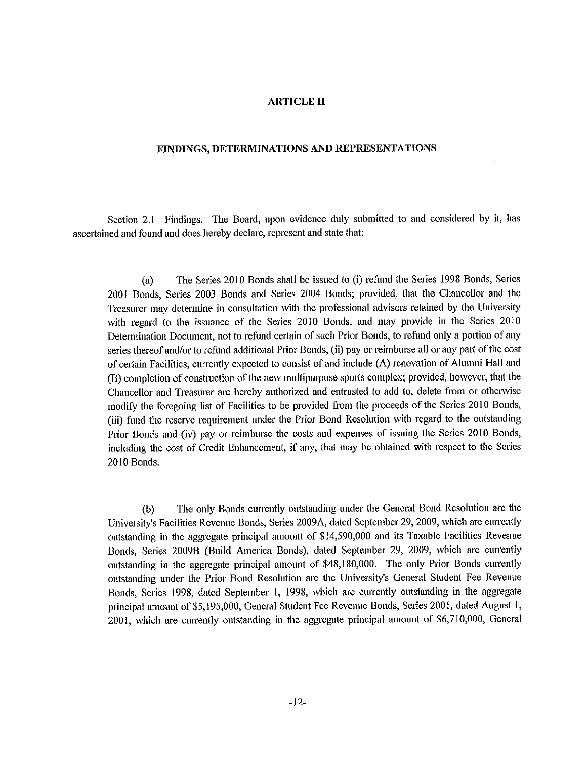#### **ARTICLE** II

#### **FINDINGS, DETERMINATIONS AND REPRESENTATIONS**

Section 2.1 Findings. The Board, upon evidence duly submitted to and considered by it, has ascertained and found and does hereby declare, represent and state that:

(a) The Series 2010 Bonds shall be issued to (i) refund the Series 1998 Bonds, Series 2001 Bonds, Series 2003 Bonds and Series 2004 Bonds; provided, that the Chancellor and the Treasurer may determine in consultation with the professional advisors retained by the University with regard to the issuance of the Series 2010 Bonds, and may provide in the Series 2010 Determination Document, not to refund certain of such Prior Bonds, to refund only a portion of any series thereof and/or to refund additional Prior Bonds, (ii) pay or reimburse all or any part of the cost of certain Facilities, currently expected to consist of and include (A) renovation of Alumni Hall and (B) completion of construction of the new multipurpose sports complex; provided, however, that the Chancellor and Treasurer are hereby authorized and entrusted to add to, delete from or otherwise modify the foregoing list of Facilities to be provided from the proceeds of the Series 2010 Bonds, (iii) fund the reserve requirement under the Prior Bond Resolution with regard to the outstanding Prior Bonds and (iv) pay or reimburse the costs and expenses of issuing the Series 2010 Bonds, including the cost of Credit Enhancement, if any, that may be obtained with respect to the Series 2010 Bonds.

(b) The only Bonds currently outstanding under the General Bond Resolution are the University's Facilities Revenue Bonds, Series 2009A, dated September 29, 2009, which are currently outstanding in the aggregate principal amount of \$14,590,000 and its Taxable Facilities Revenue Bonds, Series 2009B (Build America Bonds), dated September 29, 2009, which are currently outstanding in the aggregate principal amount of \$48,180,000. The only Prior Bonds currently outstanding under the Prior Bond Resolution are the University's General Student Fee Revenue Bonds, Series 1998, dated September I, 1998, which are currently outstanding in the aggregate principal amount of \$5,195,000, General Student Fee Revenue Bonds, Series 2001, dated August 1, 2001, which are currently outstanding in the aggregate principal amount of \$6,710,000, General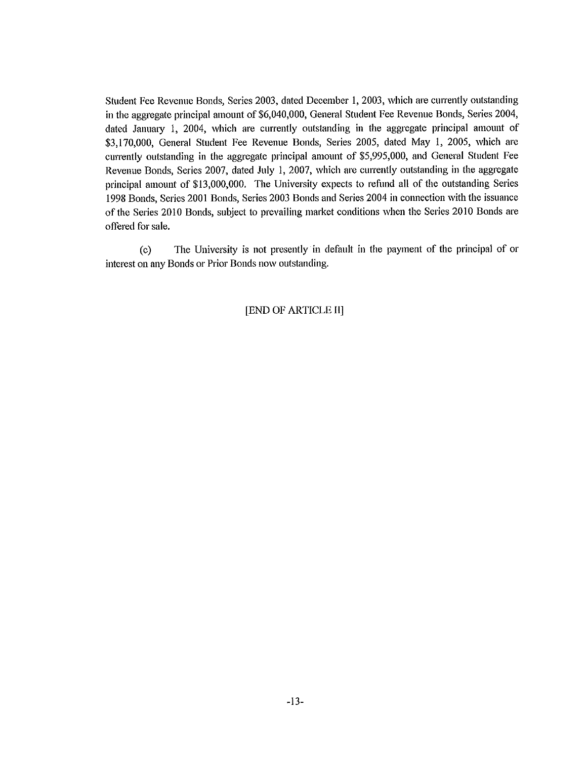Student Fee Revenue Bonds, Series 2003, dated December 1, 2003, which are currently outstanding in the aggregate principal amount of \$6,040,000, General Student Fee Revenue Bonds, Series 2004, dated Janumy 1, 2004, which are currently outstanding in the aggregate principal amount of \$3,170,000, General Student Fee Revenue Bonds, Series 2005, dated May 1, 2005, which are currently outstanding in the aggregate principal amount of \$5,995,000, and General Student Fee Revenue Bonds, Series 2007, dated July 1, 2007, which are currently outstanding in the aggregate principal amount of \$13,000,000. The University expects to refund all of the outstanding Series 1998 Bonds, Series 2001 Bonds, Series 2003 Bonds and Series 2004 in connection with the issuance of the Series 2010 Bonds, subject to prevailing market conditions when the Series 2010 Bonds are offered for sale.

( c) The University is not presently in default in the payment of the principal of or interest on any Bonds or Prior Bonds now outstanding.

#### [END OF ARTICLE II]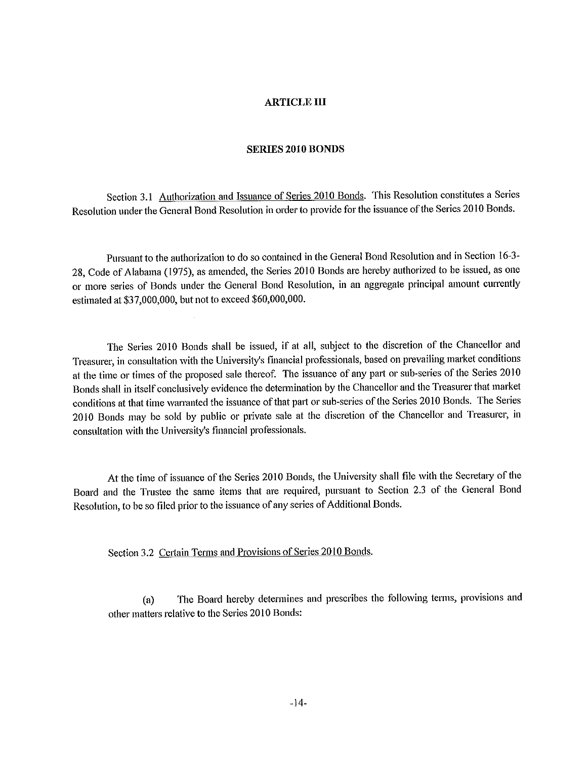#### **ARTICLE** III

#### **SERIES 2010 BONDS**

Section 3.1 Authorization and Issuance of Series 2010 Bonds. This Resolution constitutes a Series Resolution under the General Bond Resolution in order to provide for the issuance of the Series 20 IO Bonds.

Pursuant to the authorization to do so contained in the General Bond Resolution and in Section 16-3- 28, Code of Alabama (1975), as amended, the Series 2010 Bonds are hereby authorized to be issued, as one or more series of Bonds under the General Bond Resolution, in an aggregate principal amount currently estimated at \$37,000,000, but not to exceed \$60,000,000.

The Series 2010 Bonds shall be issued, if at all, subject to the discretion of the Chancellor and Treasurer, in consultation with the University's financial professionals, based on prevailing market conditions at the time or times of the proposed sale thereof. The issuance of any pait or sub-series of the Series 2010 Bonds shall in itself conclusively evidence the determination by the Chancellor and the Treasurer that market conditions at that time warranted the issuance of that part or sub-series of the Series 2010 Bonds. The Series 2010 Bonds may be sold by public or private sale at the discretion of the Chancellor and Treasurer, in consultation with the University's financial professionals.

At the time of issuance of the Series 2010 Bonds, the University shall file with the Secretaiy of the Board and the Trustee the same items that are required, pursuant to Section 2.3 of the General Bond Resolution, to be so filed prior to the issuance of any series of Additional Bonds.

Section 3.2 Certain Terms and Provisions of Series 2010 Bonds.

(a) The Board hereby determines and prescribes the following terms, provisions and other matters relative to the Series 2010 Bonds: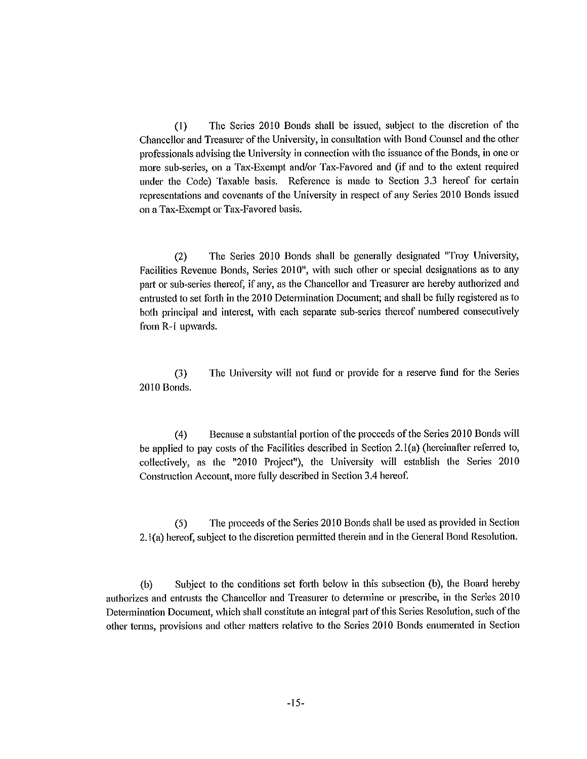(I) The Series 2010 Bonds shall be issued, subject to the discretion of the Chancellor and Treasurer of the University, in consultation with Bond Counsel and the other professionals advising the University in connection with the issuance of the Bonds, in one or more sub-series, on a Tax-Exempt and/or Tax-Favored and (if and to the extent required under the Code) Taxable basis. Reference is made to Section 3.3 hereof for certain representations and covenants of the University in respect of any Series 20 IO Bonds issued on a Tax-Exempt or Tax-Favored basis.

(2) The Series 2010 Bonds shall be generally designated "Troy University, Facilities Revenue Bonds, Series 2010", with such other or special designations as to any patt or sub-series thereof, if any, as the Chancellor and Treasurer are hereby authorized and entrusted to set forth in the 20 IO Determination Document; and shall be fully registered as to both principal and interest, with each separate sub-series thereof numbered consecutively from R-1 upwards.

(3) The University will not fund or provide for a reserve fund for the Series 2010 Bonds.

(4) Because a substantial pottion of the proceeds of the Series 2010 Bonds will be applied to pay costs of the Facilities described in Section 2.1 (a) (hereinafter referred to, collectively, as the "2010 Project"), the University will establish the Series  $2010$ Construction Account, more fully described in Section 3 .4 hereof.

(5) The proceeds of the Series 2010 Bonds shall be used as provided in Section 2.1(a) hereof, subject to the discretion permitted therein and in the General Bond Resolution.

(b) Subject to the conditions set forth below in this subsection (b), the Board hereby authorizes and entrusts the Chancellor and Treasurer to determine or prescribe, in the Series 2010 Determination Document, which shall constitute an integral part of this Series Resolution, such of the other terms, provisions and other matters relative to the Series 20 IO Bonds enumerated in Section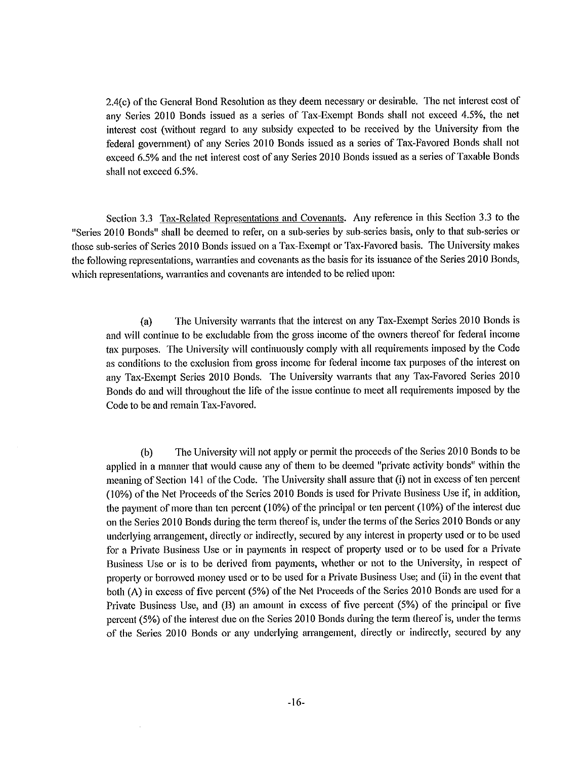2.4(c) of the General Bond Resolution as they deem necessary or desirable. The net interest cost of any Series 2010 Bonds issued as a series of Tax-Exempt Bonds shall not exceed 4.5%, the net interest cost (without regard to any subsidy expected to be received by the University from the federal government) of any Series 2010 Bonds issued as a series of Tax-Favored Bonds shall not exceed 6.5% and the net interest cost of any Series 2010 Bonds issued as a series of Taxable Bonds shall not exceed 6.5%.

Section 3.3 Tax-Related Representations and Covenants. Any reference in this Section 3.3 to the "Series 2010 Bonds" shall be deemed to refer, on a sub-series by sub-series basis, only to that sub-series or those sub-series of Series 2010 Bonds issued on a Tax-Exempt or Tax-Favored basis. The University makes the following representations, warranties and covenants as the basis for its issuance of the Series 2010 Bonds, which representations, warranties and covenants are intended to be relied upon:

(a) The University warrants that the interest on any Tax-Exempt Series 2010 Bonds is and will continue to be excludable from the gross income of the owners thereof for federal income tax purposes. The University will continuously comply with all requirements imposed by the Code as conditions to the exclusion from gross income for federal income tax purposes of the interest on any Tax-Exempt Series 2010 Bonds. The University warrants that any Tax-Favored Series 2010 Bonds do and will throughout the life of the issue continue to meet all requirements imposed by the Code to be and remain Tax-Favored.

(b) The University will not apply or permit the proceeds of the Series 2010 Bonds to be applied in a manner that would cause any of them to be deemed "private activity bonds" within the meaning of Section 141 of the Code. The University shall assure that (i) not in excess of ten percent (10%) of the Net Proceeds of the Series 2010 Bonds is used for Private Business Use if, in addition, the payment of more than ten percent (10%) of the principal or ten percent (10%) of the interest due on the Series 2010 Bonds during the term thereof is, under the terms of the Series 2010 Bonds or any underlying arrangement, directly or indirectly, secured by any interest in property used or to be used for a Private Business Use or in payments in respect of property used or to be used for a Private Business Use or is to be derived from payments, whether or not to the University, in respect of property or borrowed money used or to be used for a Private Business Use; and (ii) in the event that both (A) in excess of five percent (5%) of the Net Proceeds of the Series 20 IO Bonds are used for a Private Business Use, and (B) an amount in excess of five percent (5%) of the principal or five percent (5%) of the interest due on the Series 20 IO Bonds during the term thereof is, under the terms of the Series 2010 Bonds or any underlying arrangement, directly or indirectly, secured by any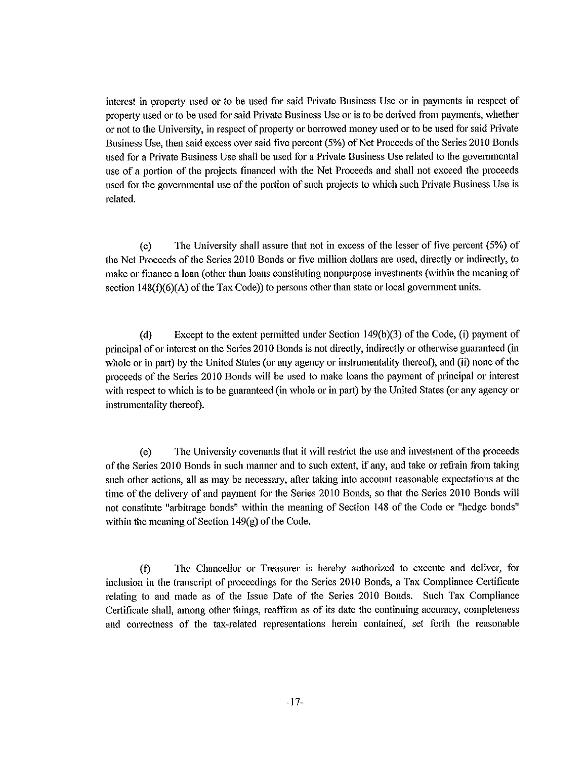interest in property used or to be used for said Private Business Use or in payments in respect of property used or to be used for said Private Business Use or is to be derived from payments, whether or not to the University, in respect of property or borrowed money used or to be used for said Private Business Use, then said excess over said five percent (5%) of Net Proceeds of the Series 2010 Bonds used for a Private Business Use shall be used for a Private Business Use related to the governmental use of a pottion of the projects financed with the Net Proceeds and shall not exceed the proceeds used for the governmental use of the portion of such projects to which such Private Business Use is related.

(c) The University shall assure that not in excess of the lesser of five percent (5%) of the Net Proceeds of the Series 20 IO Bonds or five million dollars are used, directly or indirectly, to make or finance a loan (other than loans constituting nonpurpose investments (within the meaning of section  $148(f)(6)(A)$  of the Tax Code)) to persons other than state or local government units.

(d) Except to the extent permitted under Section 149(b)(3) of the Code, (i) payment of principal of or interest on the Series 2010 Bonds is not directly, indirectly or otherwise guaranteed (in whole or in part) by the United States (or any agency or instrumentality thereof), and (ii) none of the proceeds of the Series 2010 Bonds will be used to make loans the payment of principal or interest with respect to which is to be guaranteed (in whole or in patt) by the United States (or any agency or instrumentality thereof).

( e) The University covenants that it will restrict the use and investment of the proceeds of the Series 20 IO Bonds in such manner and to such extent, if any, and take or refrain from taking such other actions, all as may be necessary, after taking into account reasonable expectations at the time of the delivery of and payment for the Series 20 IO Bonds, so that the Series 2010 Bonds will not constitute "arbitrage bonds" within the meaning of Section 148 of the Code or "hedge bonds" within the meaning of Section l 49(g) of the Code.

(f) The Chancellor or Treasurer is hereby authorized to execute and deliver, for inclusion in the transcript of proceedings for the Series 2010 Bonds, a Tax Compliance Certificate relating to and made as of the Issue Date of the Series 2010 Bonds. Such Tax Compliance Certificate shall, among other things, reaffirm as of its date the continuing accuracy, completeness and correctness of the tax-related representations herein contained, set forth the reasonable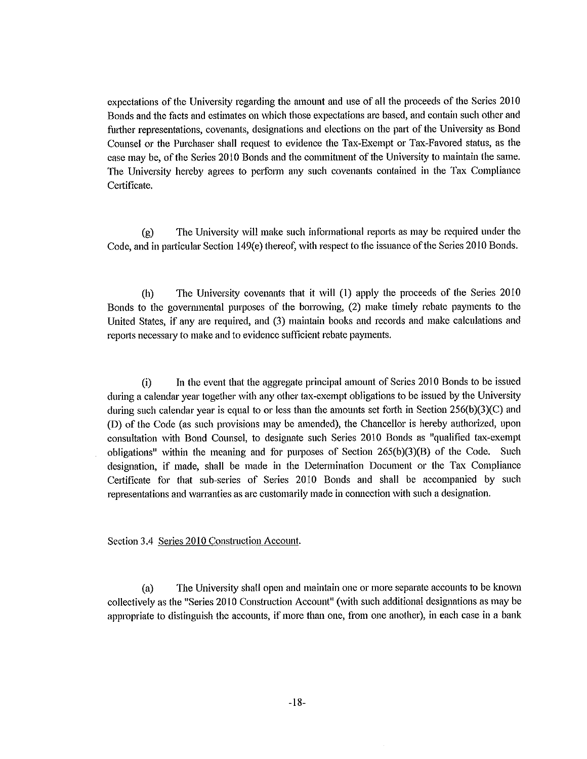expectations of the University regarding the amount and use of all the proceeds of the Series 2010 Bonds and the facts and estimates on which those expectations are based, and contain such other and further representations, covenants, designations and elections on the part of the University as Bond Counsel or the Purchaser shall request to evidence the Tax-Exempt or Tax-Favored status, as the case may be, of the Series 20 IO Bonds and the commitment of the University to maintain the same. The University hereby agrees to perform any such covenants contained in the Tax Compliance Certificate.

(g) The University will make such informational reports as may be required under the Code, and in particular Section 149(e) thereof, with respect to the issuance of the Series 2010 Bonds.

(h) The University covenants that it will (I) apply the proceeds of the Series 2010 Bonds to the governmental purposes of the borrowing, (2) make timely rebate payments to the United States, if any are required, and (3) maintain books and records and make calculations and reports necessary to make and to evidence sufficient rebate payments.

(i) In the event that the aggregate principal amount of Series 20 IO Bonds to be issued during a calendar year together with any other tax-exempt obligations to be issued by the University during such calendar year is equal to or less than the amounts set forth in Section  $256(b)(3)(C)$  and (D) of the Code (as such provisions may be amended), the Chancellor is hereby authorized, upon consultation with Bond Counsel, to designate such Series 2010 Bonds as "qualified tax-exempt obligations" within the meaning and for purposes of Section 265(b)(3)(B) of the Code. Such designation, if made, shall be made in the Determination Document or the Tax Compliance Certificate for that sub-series of Series 2010 Bonds and shall be accompanied by such representations and warranties as are customarily made in connection with such a designation.

Section 3.4 Series 2010 Construction Account.

(a) The University shall open and maintain one or more separate accounts to be known collectively as the "Series 20 IO Construction Account" (with such additional designations as may be appropriate to distinguish the accounts, if more than one, from one another), in each case in a bank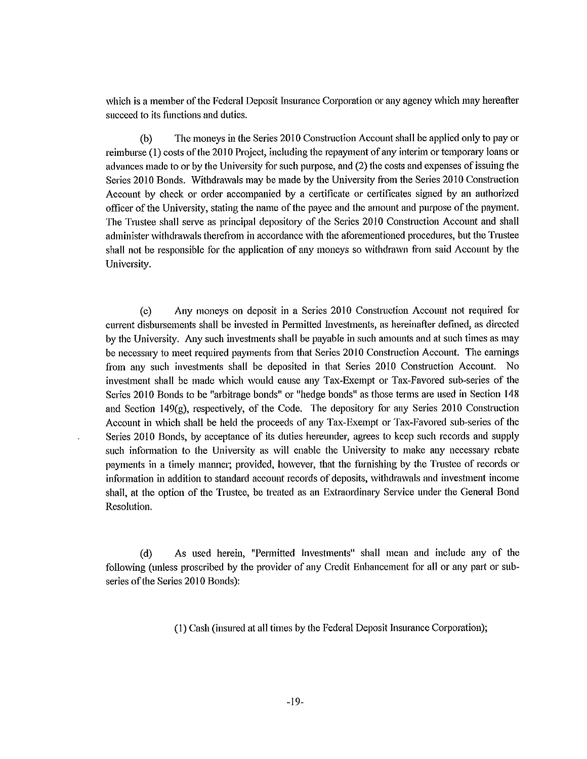which is a member of the Federal Deposit Insurance Corporation or any agency which may hereafter succeed to its functions and duties.

(b) The moneys in the Series 2010 Construction Account shall be applied only to pay or reimburse (1) costs of the 2010 Project, including the repayment of any interim or temporary loans or advances made to or by the University for such purpose, and (2) the costs and expenses of issuing the Series 2010 Bonds. Withdrawals may be made by the University from the Series 2010 Construction Account by check or order accompanied by a certificate or certificates signed by an authorized officer of the University, stating the name of the payee and the amount and purpose of the payment. The Trustee shall serve as principal depository of the Series 2010 Construction Account and shall administer withdrawals therefrom in accordance with the aforementioned procedures, but the Trnstee shall not be responsible for the application of any moneys so withdrawn from said Account by the University.

( c) Any moneys on deposit in a Series 20 JO Construction Account not required for current disbursements shall be invested in Permitted Investments, as hereinafter defined, as directed by the University. Any such investments shall be payable in such amounts and at such times as may be necessmy to meet required payments from that Series 20 IO Construction Account. The earnings from any such investments shall be deposited in that Series 2010 Construction Account. No investment shall be made which would cause any Tax-Exempt or Tax-Favored sub-series of the Series 20 JO Bonds to be "arbitrage bonds" or "hedge bonds" as those terms are used in Section 148 and Section 149 $(g)$ , respectively, of the Code. The depository for any Series 2010 Construction Account in which shall be held the proceeds of any Tax-Exempt or Tax-Favored sub-series of the Series 2010 Bonds, by acceptance of its duties hereunder, agrees to keep such records and supply such information to the University as will enable the University to make any necessmy rebate payments in a timely manner; provided, however, that the furnishing by the Trustee of records or information in addition to standard account records of deposits, withdrawals and investment income shall, at the option of the Trustee, be treated as an Extraordinary Service under the General Bond Resolution.

( d) As used herein, "Permitted Investments" shall mean and include any of the following (unless proscribed by the provider of any Credit Enhancement for all or any part or subseries of the Series 2010 Bonds):

(I) Cash (insured at all times by the Federal Deposit Insurance Corporation);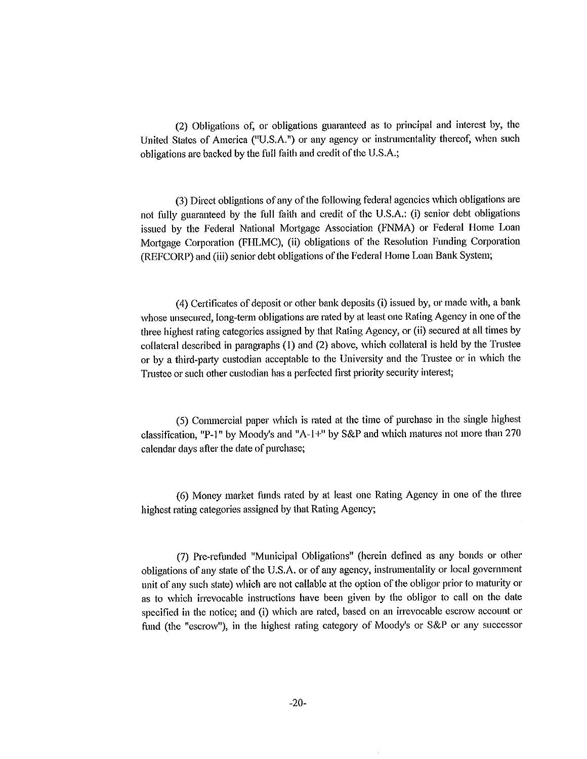(2) Obligations of, or obligations guaranteed as to principal and interest by, the United States of America ("U.S.A.") or any agency or instrumentality thereof, when such obligations are backed by the full faith and credit of the U.S.A.;

(3) Direct obligations of any of the following federal agencies which obligations are not fully guaranteed by the full faith and credit of the U.S.A.: (i) senior debt obligations issued by the Federal National Mortgage Association (FNMA) or Federal Home Loan Mortgage Corporation (FHLMC), (ii) obligations of the Resolution Funding Corporation (REFCORP) and (iii) senior debt obligations of the Federal Home Loan Bank System;

( 4) Certificates of deposit or other bank deposits (i) issued by, or made with, a bank whose unsecured, long-term obligations are rated by at least one Rating Agency in one of the three highest rating categories assigned by that Rating Agency, or (ii) secured at all times by collateral described in paragraphs (I) and (2) above, which collateral is held by the Trustee or by a third-patty custodian acceptable to the University and the Trustee or in which the Trustee or such other custodian has a perfected first priority security interest;

(5) Commercial paper which is rated at the time of purchase in the single highest classification, "P-1" by Moody's and "A-1 +" by S&P and which matures not more than 270 calendar days after the date of purchase;

( 6) Money market funds rated by at least one Rating Agency in one of the three highest rating categories assigned by that Rating Agency;

(7) Pre-refunded "Municipal Obligations" (herein defined as any bonds or other obligations of any state of the U.S.A. or of any agency, instrumentality or local government unit of any such state) which are not callable at the option of the obligor prior to maturity or as to which irrevocable instructions have been given by the obligor to call on the date specified in the notice; and (i) which are rated, based on an irrevocable escrow account or fund (the "escrow"), in the highest rating category of Moody's or S&P or any successor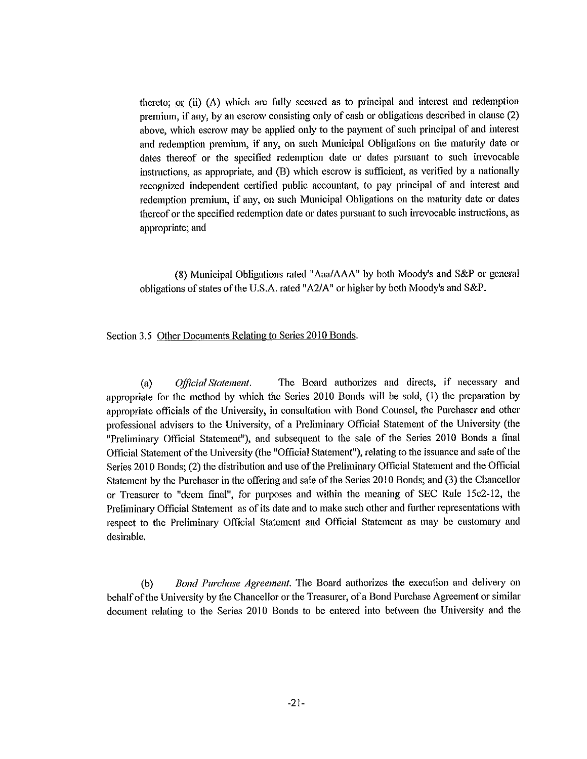thereto; or (ii) (A) which are folly secured as to principal and interest and redemption premium, if any, by an escrow consisting only of cash or obligations described in clause (2) above, which escrow may be applied only to the payment of such principal of and interest and redemption premium, if any, on such Municipal Obligations on the maturity date or dates thereof or the specified redemption date or dates pursuant to such irrevocable instrnctions, as appropriate, and (B) which escrow is sufficient, as verified by a nationally recognized independent certified public accountant, to pay principal of and interest and redemption premium, if any, on such Municipal Obligations on the maturity date or dates thereof or the specified redemption date or dates pursuant to such irrevocable instructions, as appropriate; and

(8) Municipal Obligations rated "Aaa/AAA" by both Moody's and S&P or general obligations of states of the U.S.A. rated "A2/A" or higher by both Moody's and S&P.

Section 3.5 Other Documents Relating to Series 2010 Bonds.

(a) *Official Statement.* The Board authorizes and directs, if necessaiy and appropriate for the method by which the Series 2010 Bonds will be sold, (I) the preparation by appropriate officials of the University, in consultation with Bond Counsel, the Purchaser and other professional advisers to the University, of a Preliminaty Official Statement of the University (the "Preliminary Official Statement"), and subsequent to the sale of the Series 2010 Bonds a final Official Statement of the University (the "Official Statement"), relating to the issuance and sale of the Series 2010 Bonds; (2) the distribution and use of the Preliminary Official Statement and the Official Statement by the Purchaser in the offering and sale of the Series 2010 Bonds; and (3) the Chancellor or Treasurer to "deem final", for purposes and within the meaning of SEC Rule 15c2-12, the Preliminary Official Statement as of its date and to make such other and further representations with respect to the Preliminaty Official Statement and Official Statement as may be customaty and desirable.

(b) *Bond Purchase Agreement*. The Board authorizes the execution and delivery on behalf of the University by the Chancellor or the Treasurer, of a Bond Purchase Agreement or similar document relating to the Series 20 IO Bonds to be entered into between the University and the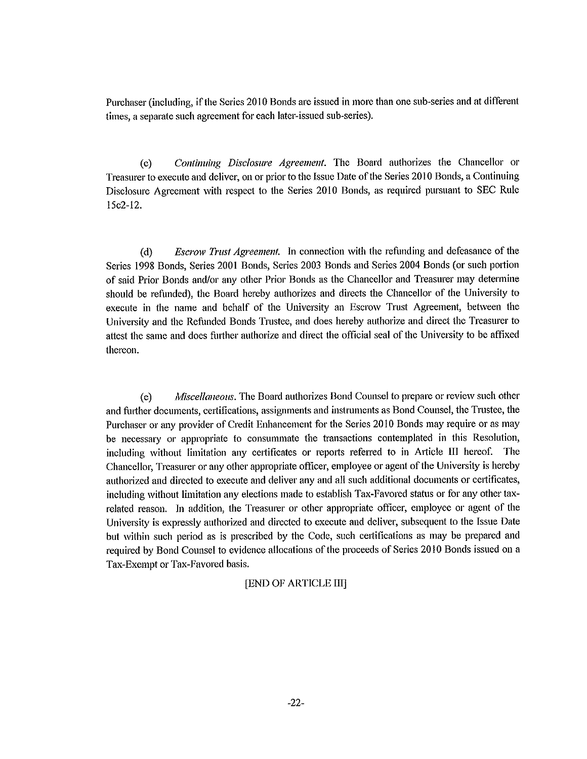Purchaser (including, if the Series 20 IO Bonds are issued in more than one sub-series and at different times, a separate such agreement for each later-issued sub-series).

(c) *Continuing Disclosure Agreement.* The Board authorizes the Chancellor or Treasurer to execute and deliver, on or prior to the Issue Date of the Series 20 IO Bonds, a Continuing Disclosure Agreement with respect to the Series 2010 Bonds, as required pursuant to SEC Rule 15c2-12.

( d) *Escrow frust Agreement.* In connection with the refunding and defeasance of the Series 1998 Bonds, Series 2001 Bonds, Series 2003 Bonds and Series 2004 Bonds (or such portion of said Prior Bonds and/or any other Prior Bonds as the Chancellor and Treasurer may determine should be refunded), the Board hereby authorizes and directs the Chancellor of the University to execute in the name and behalf of the University an Escrow Trnst Agreement, between the University and the Refunded Bonds Trustee, and does hereby authorize and direct the Treasurer to attest the same and does further authorize and direct the official seal of the University to be affixed thereon.

(e) *Miscellaneous.* The Board authorizes Bond Counsel to prepare or review such other and further documents, certifications, assignments and instruments as Bond Counsel, the Trustee, the Purchaser or any provider of Credit Enhancement for the Series 20 IO Bonds may require or as may be necessary or appropriate to consummate the transactions contemplated in this Resolution, including without limitation any certificates or reports referred to in Article III hereof. The Chancellor, Treasurer or any other appropriate officer, employee or agent of the University is hereby authorized and directed to execute and deliver any and all such additional documents or certificates, including without limitation any elections made to establish Tax-Favored status or for any other taxrelated reason. In addition, the Treasurer or other appropriate officer, employee or agent of the University is expressly authorized and directed to execute and deliver, subsequent to the Issue Date but within such period as is prescribed by the Code, such certifications as may be prepared and required by Bond Counsel to evidence allocations of the proceeds of Series 20 IO Bonds issued on a Tax-Exempt or Tax-Favored basis.

#### [END OF ARTICLE III]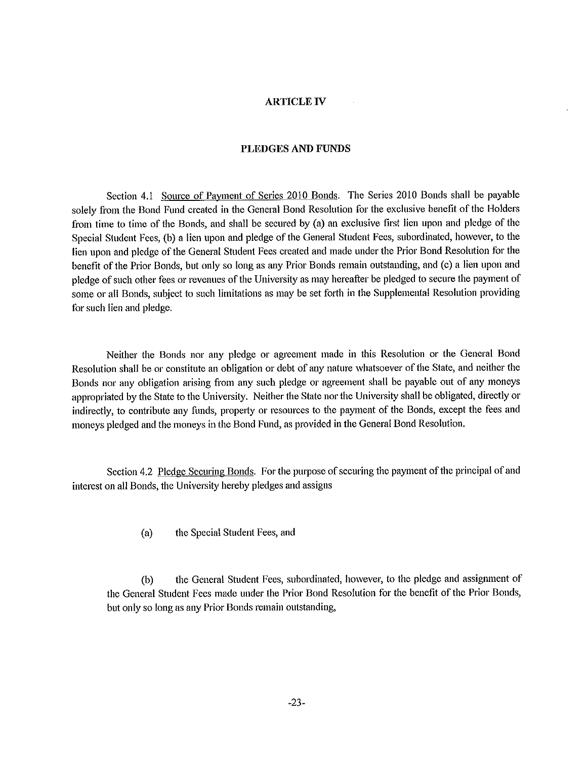#### **ARTICLE IV**

#### **PLEDGES AND FUNDS**

Section 4.1 Source of Payment of Series 2010 Bonds. The Series 2010 Bonds shall be payable solely from the Bond Fund created in the General Bond Resolution for the exclusive benefit of the Holders from time to time of the Bonds, and shall be secured by (a) an exclusive first lien upon and pledge of the Special Student Fees, (b) a lien upon and pledge of the General Student Fees, subordinated, however, to the lien upon and pledge of the General Student Fees created and made under the Prior Bond Resolution for the benefit of the Prior Bonds, but only so long as any Prior Bonds remain outstanding, and (c) a lien upon and pledge of such other fees or revenues of the University as may hereafter be pledged to secure the payment of some or all Bonds, subject to such limitations as may be set forth in the Supplemental Resolution providing for such lien and pledge.

Neither the Bonds nor any pledge or agreement made in this Resolution or the General Bond Resolution shall be or constitute an obligation or debt of any nature whatsoever of the State, and neither the Bonds nor any obligation arising from any such pledge or agreement shall be payable out of any moneys appropriated by the State to the University. Neither the State nor the University shall be obligated, directly or indirectly, to contribute any funds, property or resources to the payment of the Bonds, except the fees and moneys pledged and the moneys in the Bond Fund, as provided in the General Bond Resolution.

Section 4.2 Pledge Securing Bonds. For the purpose of securing the payment of the principal of and interest on all Bonds, the University hereby pledges and assigns

(a) the Special Student Fees, and

(b) the General Student Fees, subordinated, however, to the pledge and assignment of the General Student Fees made under the Prior Bond Resolution for the benefit of the Prior Bonds, but only so long as any Prior Bonds remain outstanding,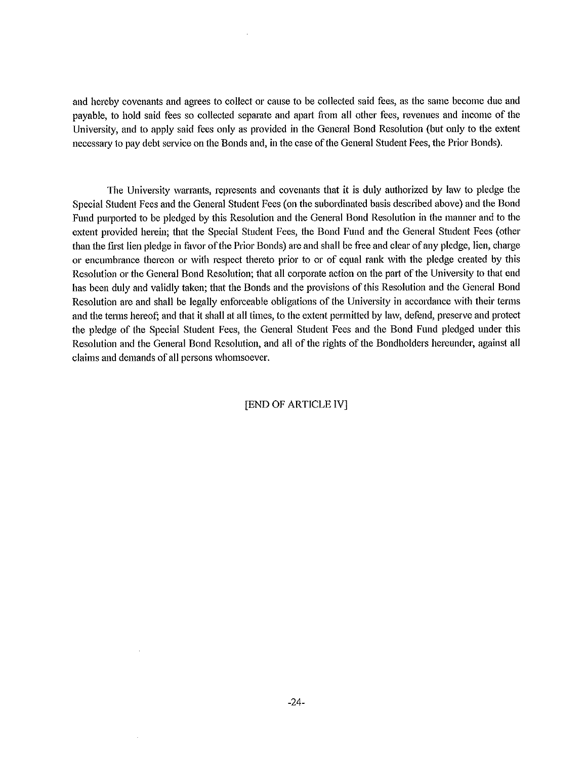and hereby covenants and agrees to collect or cause to be collected said fees, as the same become due and payable, to hold said fees so collected separate and apart from all other fees, revenues and income of the University, and to apply said fees only as provided in the General Bond Resolution (but only to the extent necessaty to pay debt service on the Bonds and, in the case of the General Student Fees, the Prior Bonds).

The University warrants, represents and covenants that it is duly authorized by law to pledge the Special Student Fees and the General Student Fees (on the subordinated basis described above) and the Bond Fund purported to be pledged by this Resolution and the General Bond Resolution in the manner and to the extent provided herein; that the Special Student Fees, the Bond Fund and the General Student Fees (other than the first lien pledge in favor of the Prior Bonds) are and shall be free and clear of any pledge, lien, charge or encumbrance thereon or with respect thereto prior to or of equal rank with the pledge created by this Resolution or the General Bond Resolution; that all corporate action on the patt of the University to that end has been duly and validly taken; that the Bonds and the provisions of this Resolution and the General Bond Resolution are and shall be legally enforceable obligations of the University in accordance with their terms and the terms hereof; and that it shall at all times, to the extent permitted by law, defend, preserve and protect the pledge of the Special Student Fees, the General Student Fees and the Bond Fund pledged under this Resolution and the General Bond Resolution, and all of the rights of the Bondholders hereunder, against all claims and demands of all persons whomsoever.

#### [END OF ARTICLE IV]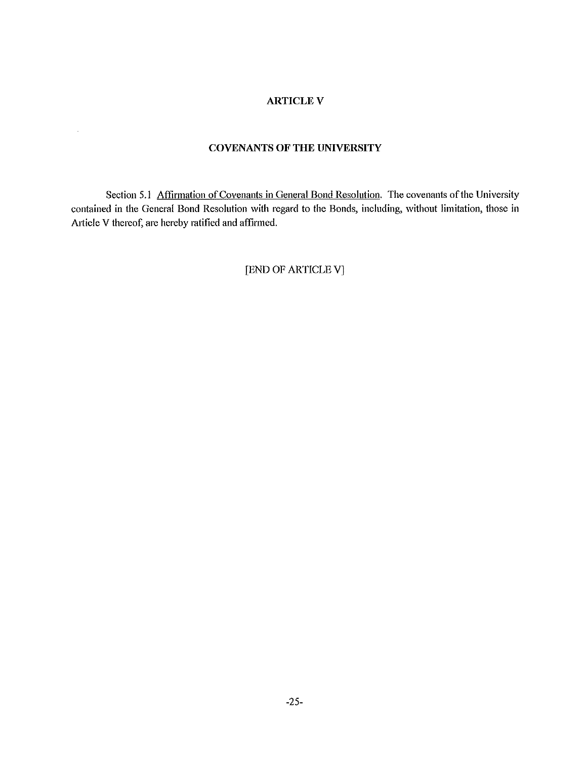## **ARTICLEV**

#### **COVENANTS OF THE UNIVERSITY**

 $\mathbb{Z}^2$ 

Section 5.1 Affirmation of Covenants in General Bond Resolution. The covenants of the University contained in the General Bond Resolution with regard to the Bonds, including, without limitation, those in Article V thereof, are hereby ratified and affirmed.

[END OF ARTICLE VJ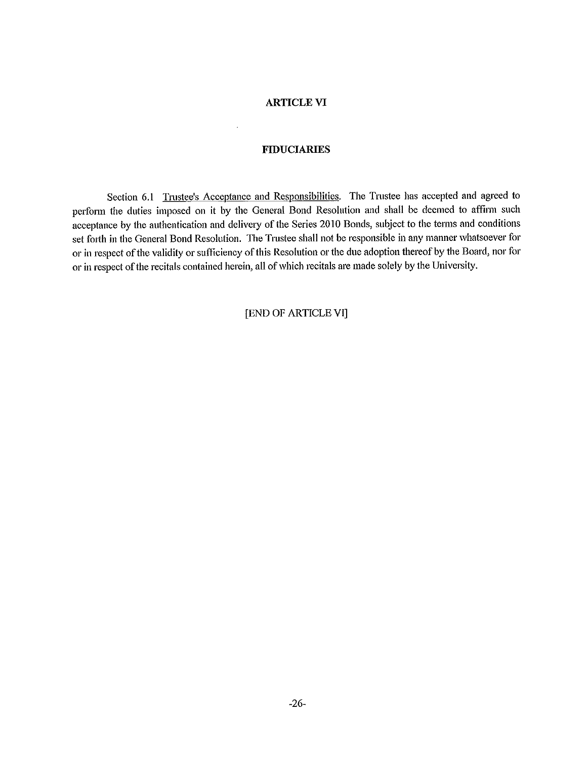#### **ARTICLE VI**

## **FIDUCIARIES**

Section 6.1 Trustee's Acceptance and Responsibilities. The Trustee has accepted and agreed to perform the duties imposed on it by the General Bond Resolution and shall be deemed to affirm such acceptance by the authentication and delivery of the Series 2010 Bonds, subject to the terms and conditions set fotth in the General Bond Resolution. The Trnstee shall not be responsible in any manner whatsoever for or in respect of the validity or sufficiency of this Resolution or the due adoption thereof by the Board, nor for or in respect of the recitals contained herein, all of which recitals are made solely by the University.

## [END OF ARTICLE VI]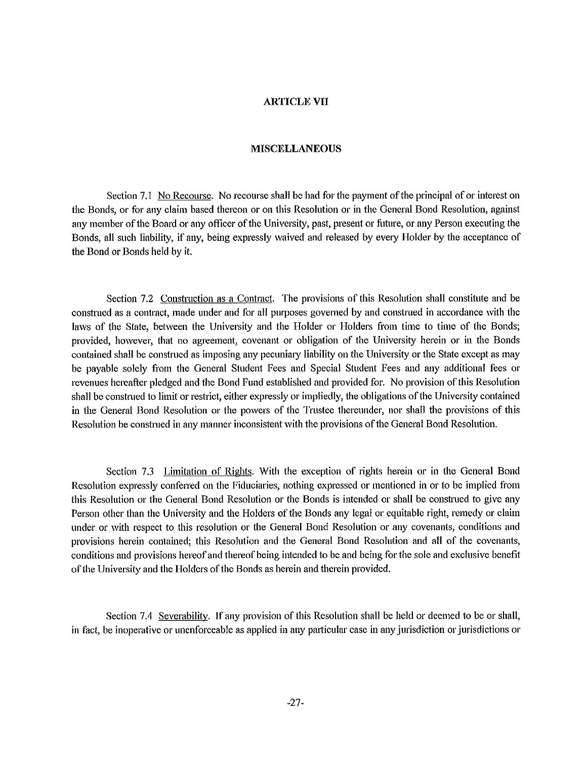#### **ARTICLE VII**

#### **MISCELLANEOUS**

Section 7.1 No Recourse. No recourse shall be had for the payment of the principal of or interest on the Bonds, or for any claim based thereon or on this Resolution or in the General Bond Resolution, against any member of the Board or any officer of the University, past, present or future, or any Person executing the Bonds, all such liability, if any, being expressly waived and released by every Holder by the acceptance of the Bond or Bonds held by it.

Section 7.2 Construction as a Contract. The provisions of this Resolution shall constitute and be constrned as a contract, made under and for all purposes governed by and constrned in accordance with the laws of the State, between the University and the Holder or Holders from time to time of the Bonds; provided, however, that no agreement, covenant or obligation of the University herein or in the Bonds contained shall be construed as imposing any pecuniary liability on the University or the State except as may be payable solely from the General Student Fees and Special Student Fees and any additional fees or revenues hereafter pledged and the Bond Fund established and provided for. No provision of this Resolution shall be construed to limit or restrict, either expressly or impliedly, the obligations of the University contained in the General Bond Resolution or the powers of the Trustee thereunder, nor shall the provisions of this Resolution be construed in any manner inconsistent with the provisions of the General Bond Resolution.

Section 7.3 Limitation of Rights. With the exception of rights herein or in the General Bond Resolution expressly conferred on the Fiduciaries, nothing expressed or mentioned in or to be implied from this Resolution or the General Bond Resolution or the Bonds is intended or shall be construed to give any Person other than the University and the Holders of the Bonds any legal or equitable right, remedy or claim under or with respect to this resolution or the General Bond Resolution or any covenants, conditions and provisions herein contained; this Resolution and the General Bond Resolution and all of the covenants, conditions and provisions hereof and thereof being intended to be and being for the sole and exclusive benefit of the University and the Holders of the Bonds as herein and therein provided.

Section 7.4 Severability. If any provision of this Resolution shall be held or deemed to be or shall, in fact, be inoperative or unenforceable as applied in any particular case in any jurisdiction or jurisdictions or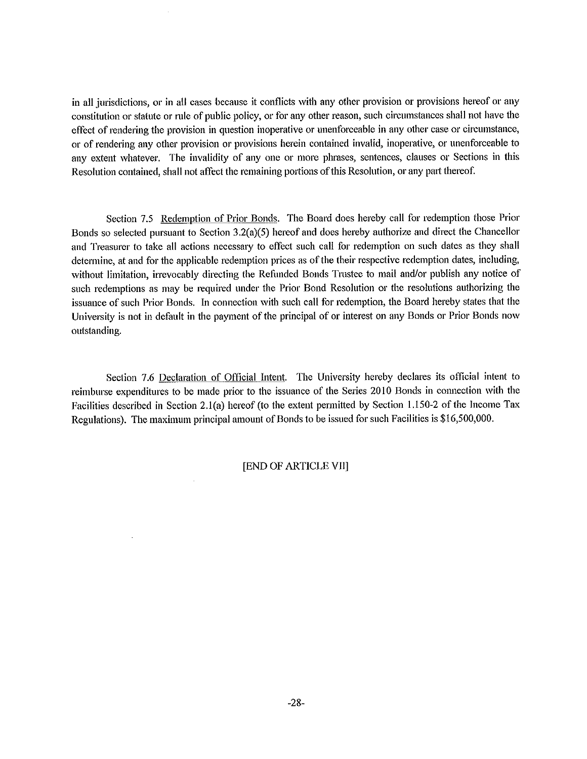in all jurisdictions, or in all cases because it conflicts with any other provision or provisions hereof or any constitution or statute or rnle of public policy, or for any other reason, such circumstances shall not have the effect of rendering the provision in question inoperative or unenforceable in any other case or circumstance, or of rendering any other provision or provisions herein contained invalid, inoperative, or unenforceable to any extent whatever. The invalidity of any one or more phrases, sentences, clauses or Sections in this Resolution contained, shall not affect the remaining portions of this Resolution, or any part thereof.

Section 7.5 Redemption of Prior Bonds. The Board does hereby call for redemption those Prior Bonds so selected pursuant to Section 3.2(a)(5) hereof and does hereby authorize and direct the Chancellor and Treasurer to take all actions necessary to effect such call for redemption on such dates as they shall determine, at and for the applicable redemption prices as of the their respective redemption dates, including, without limitation, irrevocably directing the Refunded Bonds Trustee to mail and/or publish any notice of such redemptions as may be required under the Prior Bond Resolution or the resolutions authorizing the issuance of such Prior Bonds. In connection with such call for redemption, the Board hereby states that the University is not in default in the payment of the principal of or interest on any Bonds or Prior Bonds now outstanding.

Section 7.6 Declaration of Official Intent. The University hereby declares its official intent to reimburse expenditures to be made prior to the issuance of the Series 2010 Bonds in connection with the Facilities described in Section 2.l(a) hereof (to the extent permitted by Section 1.150-2 of the Income Tax Regulations). The maximum principal amount of Bonds to be issued for such Facilities is \$16,500,000.

#### [END OF ARTICLE VII]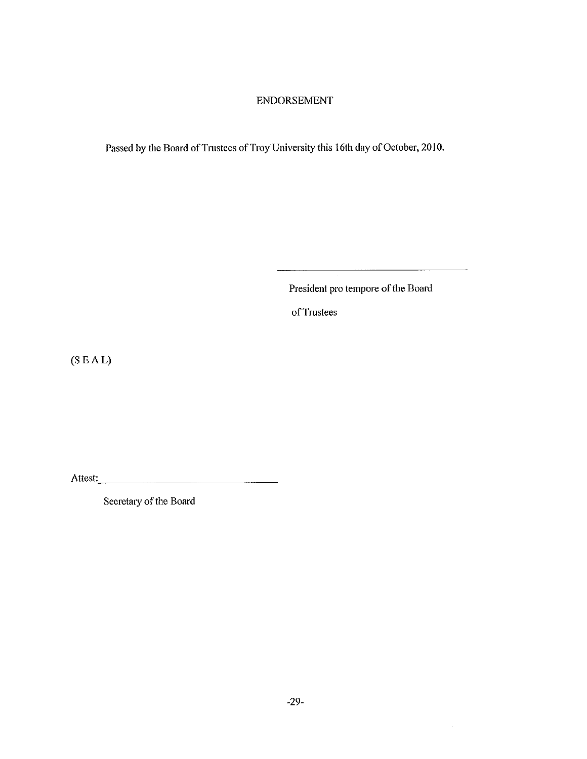## ENDORSEMENT

Passed by the Board of Trustees of Troy University this 16th day of October, 2010.

President pro tempore of the Board

 $\bar{z}$ 

 $\overline{\phantom{a}}$ 

of Trustees

(SEAL)

Attest:. \_\_\_\_\_\_\_\_\_\_\_\_\_\_ \_

Secretary of the Board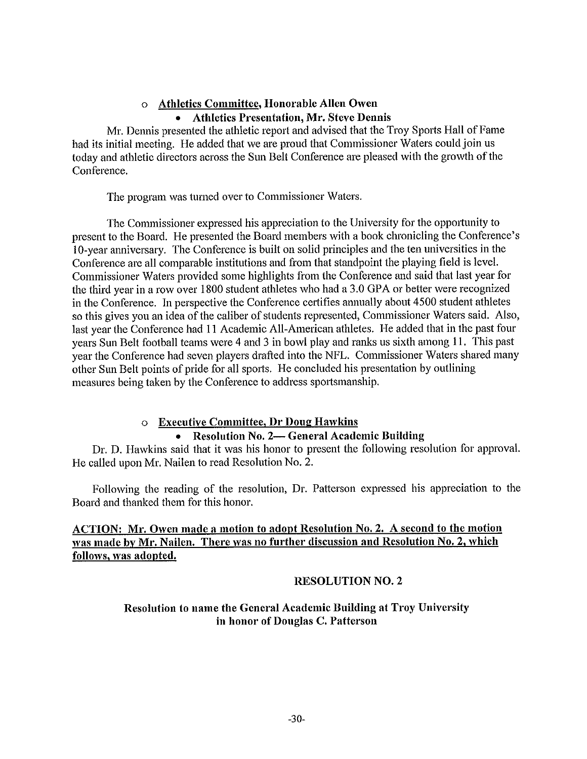## o **Athletics Committee, Honorable Allen Owen**  • **Athletics Presentation, Mr. Steve Dennis**

Mr. Dennis presented the athletic report and advised that the Troy Sports Hall of Fame had its initial meeting. He added that we are proud that Commissioner Waters could join us today and athletic directors across the Sun Belt Conference are pleased with the growth of the Conference.

The program was turned over to Commissioner Waters.

The Commissioner expressed his appreciation to the University for the opportunity to present to the Board. He presented the Board members with a book chronicling the Conference's 10-year anniversary. The Conference is built on solid principles and the ten universities in the Conference are all comparable institutions and from that standpoint the playing field is level. Commissioner Waters provided some highlights from the Conference and said that last year for the third year in a row over 1800 student athletes who had a 3.0 GPA or better were recognized in the Conference. In perspective the Conference cetiifies annually about 4500 student athletes so this gives you an idea of the caliber of students represented, Commissioner Waters said. Also, last year the Conference had 11 Academic All-American athletes. He added that in the past four years Sun Belt football teams were 4 and 3 in bowl play and ranks us sixth among 11. This past year the Conference had seven players drafted into the NFL. Commissioner Waters shared many other Sun Belt points of pride for all sports. He concluded his presentation by outlining measures being taken by the Conference to address sportsmanship.

## o **Executive Committee, Dr Doug Hawkins**

## • **Resolution No. 2- General Academic Building**

Dr. D. Hawkins said that it was his honor to present the following resolution for approval. He called upon Mr. Nailen to read Resolution No. 2.

Following the reading of the resolution, Dr. Patterson expressed his appreciation to the Board and thanked them for this honor.

## ACTION: Mr. Owen made a motion to adopt Resolution No. 2. A second to the motion **was made by Mr. Nailen. There was no further discussion and Resolution No. 2, which follows, was adopted.**

## RESOLUTION NO. 2

## Resolution to name the General Academic Building at Troy University in honor of Douglas C. Patterson